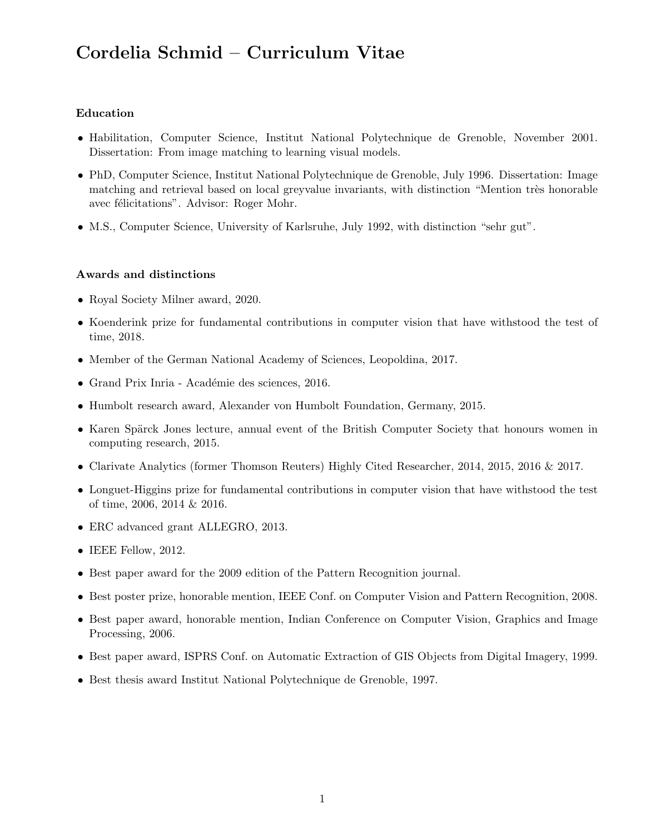# Cordelia Schmid – Curriculum Vitae

# Education

- Habilitation, Computer Science, Institut National Polytechnique de Grenoble, November 2001. Dissertation: From image matching to learning visual models.
- PhD, Computer Science, Institut National Polytechnique de Grenoble, July 1996. Dissertation: Image matching and retrieval based on local greyvalue invariants, with distinction "Mention très honorable avec félicitations". Advisor: Roger Mohr.
- M.S., Computer Science, University of Karlsruhe, July 1992, with distinction "sehr gut".

#### Awards and distinctions

- Royal Society Milner award, 2020.
- Koenderink prize for fundamental contributions in computer vision that have withstood the test of time, 2018.
- Member of the German National Academy of Sciences, Leopoldina, 2017.
- Grand Prix Inria Académie des sciences, 2016.
- Humbolt research award, Alexander von Humbolt Foundation, Germany, 2015.
- Karen Spärck Jones lecture, annual event of the British Computer Society that honours women in computing research, 2015.
- Clarivate Analytics (former Thomson Reuters) Highly Cited Researcher, 2014, 2015, 2016 & 2017.
- Longuet-Higgins prize for fundamental contributions in computer vision that have withstood the test of time, 2006, 2014 & 2016.
- ERC advanced grant ALLEGRO, 2013.
- IEEE Fellow, 2012.
- Best paper award for the 2009 edition of the Pattern Recognition journal.
- Best poster prize, honorable mention, IEEE Conf. on Computer Vision and Pattern Recognition, 2008.
- Best paper award, honorable mention, Indian Conference on Computer Vision, Graphics and Image Processing, 2006.
- Best paper award, ISPRS Conf. on Automatic Extraction of GIS Objects from Digital Imagery, 1999.
- Best thesis award Institut National Polytechnique de Grenoble, 1997.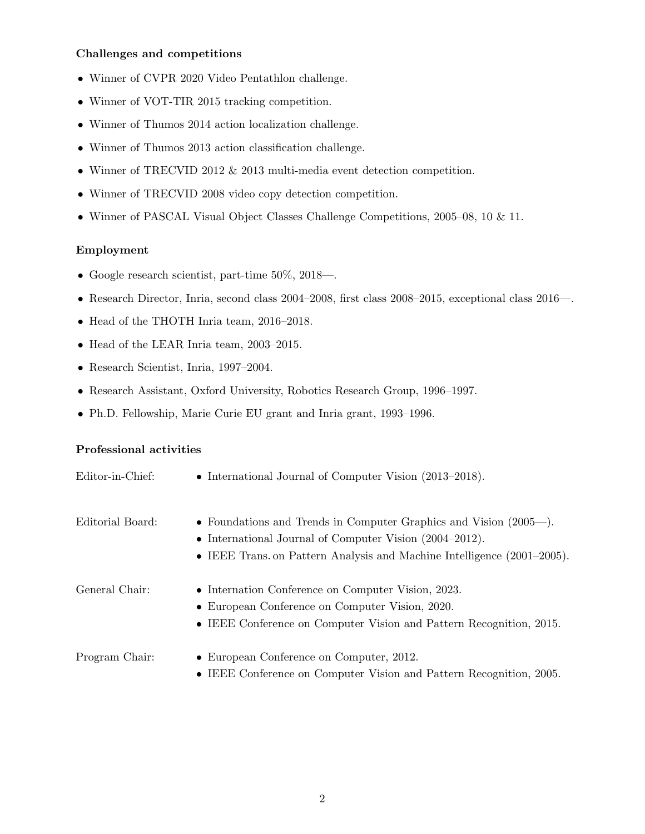### Challenges and competitions

- Winner of CVPR 2020 Video Pentathlon challenge.
- Winner of VOT-TIR 2015 tracking competition.
- Winner of Thumos 2014 action localization challenge.
- Winner of Thumos 2013 action classification challenge.
- Winner of TRECVID 2012 & 2013 multi-media event detection competition.
- Winner of TRECVID 2008 video copy detection competition.
- Winner of PASCAL Visual Object Classes Challenge Competitions, 2005–08, 10 & 11.

# Employment

- Google research scientist, part-time 50%, 2018—.
- Research Director, Inria, second class 2004–2008, first class 2008–2015, exceptional class 2016—.
- Head of the THOTH Inria team, 2016–2018.
- Head of the LEAR Inria team, 2003–2015.
- Research Scientist, Inria, 1997–2004.
- Research Assistant, Oxford University, Robotics Research Group, 1996–1997.
- Ph.D. Fellowship, Marie Curie EU grant and Inria grant, 1993–1996.

# Professional activities

| Editor-in-Chief: | • International Journal of Computer Vision $(2013-2018)$ .                                                                                                                                                       |
|------------------|------------------------------------------------------------------------------------------------------------------------------------------------------------------------------------------------------------------|
| Editorial Board: | • Foundations and Trends in Computer Graphics and Vision $(2005-)$ .<br>• International Journal of Computer Vision $(2004-2012)$ .<br>• IEEE Trans. on Pattern Analysis and Machine Intelligence $(2001-2005)$ . |
| General Chair:   | • Internation Conference on Computer Vision, 2023.<br>• European Conference on Computer Vision, 2020.<br>• IEEE Conference on Computer Vision and Pattern Recognition, 2015.                                     |
| Program Chair:   | • European Conference on Computer, 2012.<br>• IEEE Conference on Computer Vision and Pattern Recognition, 2005.                                                                                                  |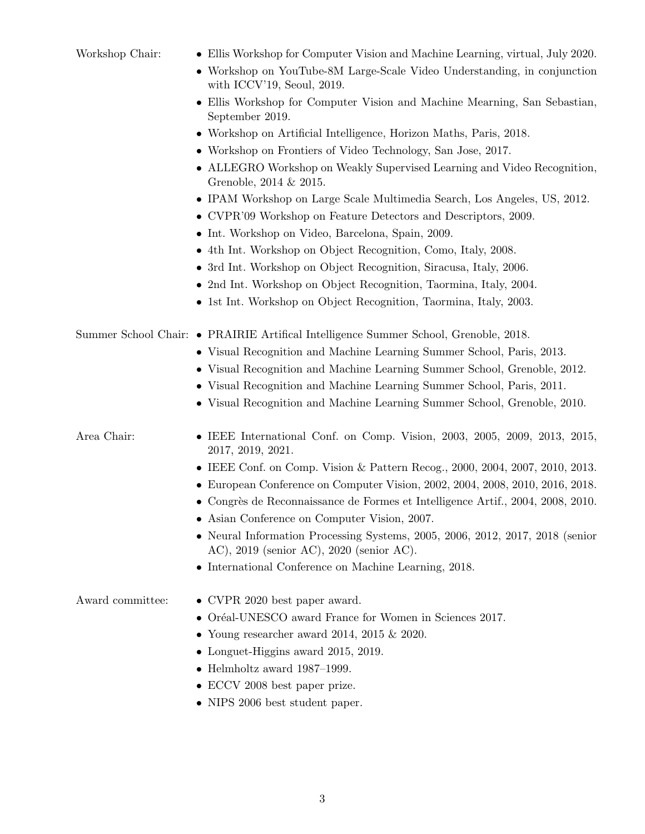| Workshop Chair:  | • Ellis Workshop for Computer Vision and Machine Learning, virtual, July 2020.<br>• Workshop on YouTube-8M Large-Scale Video Understanding, in conjunction<br>with ICCV'19, Seoul, $2019$ . |
|------------------|---------------------------------------------------------------------------------------------------------------------------------------------------------------------------------------------|
|                  | • Ellis Workshop for Computer Vision and Machine Mearning, San Sebastian,<br>September 2019.                                                                                                |
|                  | • Workshop on Artificial Intelligence, Horizon Maths, Paris, 2018.                                                                                                                          |
|                  | • Workshop on Frontiers of Video Technology, San Jose, 2017.                                                                                                                                |
|                  | • ALLEGRO Workshop on Weakly Supervised Learning and Video Recognition,<br>Grenoble, 2014 & 2015.                                                                                           |
|                  | • IPAM Workshop on Large Scale Multimedia Search, Los Angeles, US, 2012.                                                                                                                    |
|                  | • CVPR'09 Workshop on Feature Detectors and Descriptors, 2009.                                                                                                                              |
|                  | • Int. Workshop on Video, Barcelona, Spain, 2009.                                                                                                                                           |
|                  | • 4th Int. Workshop on Object Recognition, Como, Italy, 2008.                                                                                                                               |
|                  | • 3rd Int. Workshop on Object Recognition, Siracusa, Italy, 2006.                                                                                                                           |
|                  | • 2nd Int. Workshop on Object Recognition, Taormina, Italy, 2004.                                                                                                                           |
|                  | • 1st Int. Workshop on Object Recognition, Taormina, Italy, 2003.                                                                                                                           |
|                  |                                                                                                                                                                                             |
|                  | Summer School Chair: • PRAIRIE Artifical Intelligence Summer School, Grenoble, 2018.                                                                                                        |
|                  | • Visual Recognition and Machine Learning Summer School, Paris, 2013.                                                                                                                       |
|                  | • Visual Recognition and Machine Learning Summer School, Grenoble, 2012.                                                                                                                    |
|                  | • Visual Recognition and Machine Learning Summer School, Paris, 2011.                                                                                                                       |
|                  | • Visual Recognition and Machine Learning Summer School, Grenoble, 2010.                                                                                                                    |
|                  |                                                                                                                                                                                             |
| Area Chair:      | • IEEE International Conf. on Comp. Vision, $2003$ , $2005$ , $2009$ , $2013$ , $2015$ ,<br>2017, 2019, 2021.                                                                               |
|                  | • IEEE Conf. on Comp. Vision & Pattern Recog., 2000, 2004, 2007, 2010, 2013.                                                                                                                |
|                  | • European Conference on Computer Vision, 2002, 2004, 2008, 2010, 2016, 2018.                                                                                                               |
|                  | • Congrès de Reconnaissance de Formes et Intelligence Artif., 2004, 2008, 2010.                                                                                                             |
|                  | Asian Conference on Computer Vision, 2007.                                                                                                                                                  |
|                  | • Neural Information Processing Systems, 2005, 2006, 2012, 2017, 2018 (senior<br>AC), $2019$ (senior AC), $2020$ (senior AC).                                                               |
|                  | • International Conference on Machine Learning, 2018.                                                                                                                                       |
|                  |                                                                                                                                                                                             |
| Award committee: | $\bullet$ CVPR 2020 best paper award.                                                                                                                                                       |
|                  | • Oréal-UNESCO award France for Women in Sciences 2017.                                                                                                                                     |
|                  | • Young researcher award 2014, 2015 $\&$ 2020.                                                                                                                                              |
|                  | • Longuet-Higgins award $2015$ , $2019$ .                                                                                                                                                   |
|                  | $\bullet$ Helmholtz award 1987–1999.                                                                                                                                                        |
|                  | • ECCV 2008 best paper prize.                                                                                                                                                               |
|                  | • NIPS 2006 best student paper.                                                                                                                                                             |
|                  |                                                                                                                                                                                             |
|                  |                                                                                                                                                                                             |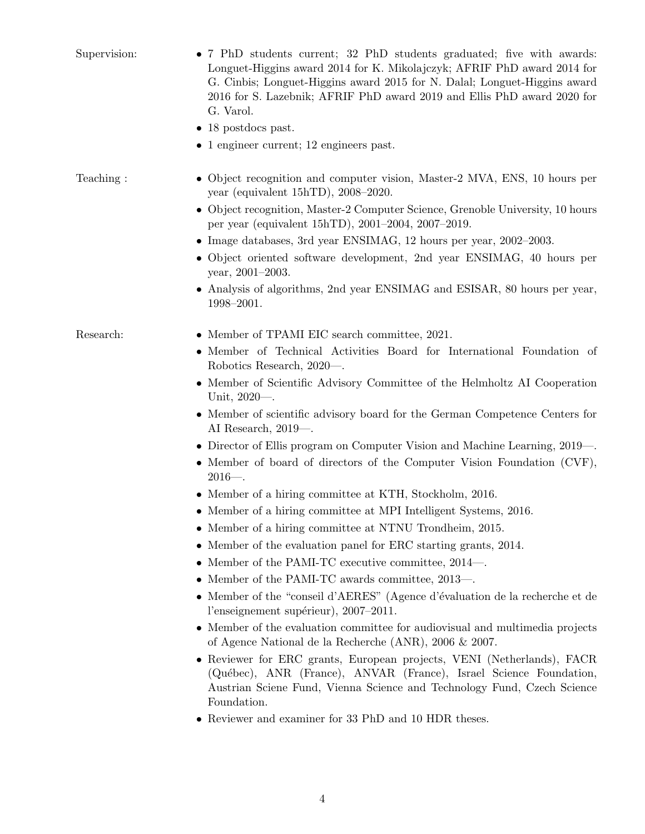| Supervision: | • 7 PhD students current; 32 PhD students graduated; five with awards:<br>Longuet-Higgins award 2014 for K. Mikolajczyk; AFRIF PhD award 2014 for<br>G. Cinbis; Longuet-Higgins award 2015 for N. Dalal; Longuet-Higgins award<br>2016 for S. Lazebnik; AFRIF PhD award 2019 and Ellis PhD award 2020 for<br>G. Varol. |
|--------------|------------------------------------------------------------------------------------------------------------------------------------------------------------------------------------------------------------------------------------------------------------------------------------------------------------------------|
|              | $\bullet$ 18 postdocs past.                                                                                                                                                                                                                                                                                            |
|              | $\bullet$ 1 engineer current; 12 engineers past.                                                                                                                                                                                                                                                                       |
| Teaching:    | • Object recognition and computer vision, Master-2 MVA, ENS, 10 hours per<br>year (equivalent 15hTD), $2008-2020$ .                                                                                                                                                                                                    |
|              | • Object recognition, Master-2 Computer Science, Grenoble University, 10 hours<br>per year (equivalent 15hTD), 2001-2004, 2007-2019.                                                                                                                                                                                   |
|              | • Image databases, 3rd year ENSIMAG, 12 hours per year, $2002-2003$ .                                                                                                                                                                                                                                                  |
|              | • Object oriented software development, 2nd year ENSIMAG, 40 hours per<br>year, 2001-2003.                                                                                                                                                                                                                             |
|              | • Analysis of algorithms, 2nd year ENSIMAG and ESISAR, 80 hours per year,<br>1998-2001.                                                                                                                                                                                                                                |
| Research:    | • Member of TPAMI EIC search committee, 2021.                                                                                                                                                                                                                                                                          |
|              | • Member of Technical Activities Board for International Foundation of<br>Robotics Research, 2020—.                                                                                                                                                                                                                    |
|              | • Member of Scientific Advisory Committee of the Helmholtz AI Cooperation<br>Unit, $2020$ —.                                                                                                                                                                                                                           |
|              | • Member of scientific advisory board for the German Competence Centers for<br>AI Research, $2019$ —.                                                                                                                                                                                                                  |
|              | • Director of Ellis program on Computer Vision and Machine Learning, 2019—.                                                                                                                                                                                                                                            |
|              | • Member of board of directors of the Computer Vision Foundation (CVF),<br>$2016 -$ .                                                                                                                                                                                                                                  |
|              | • Member of a hiring committee at KTH, Stockholm, 2016.                                                                                                                                                                                                                                                                |
|              | • Member of a hiring committee at MPI Intelligent Systems, 2016.                                                                                                                                                                                                                                                       |
|              | • Member of a hiring committee at NTNU Trondheim, 2015.                                                                                                                                                                                                                                                                |
|              | • Member of the evaluation panel for ERC starting grants, 2014.                                                                                                                                                                                                                                                        |
|              | • Member of the PAMI-TC executive committee, $2014-$ .                                                                                                                                                                                                                                                                 |
|              | • Member of the PAMI-TC awards committee, 2013—.                                                                                                                                                                                                                                                                       |
|              | • Member of the "conseil d'AERES" (Agence d'évaluation de la recherche et de<br>l'enseignement supérieur), 2007-2011.                                                                                                                                                                                                  |
|              | • Member of the evaluation committee for audiovisual and multimedia projects<br>of Agence National de la Recherche (ANR), $2006 \& 2007$ .                                                                                                                                                                             |
|              | • Reviewer for ERC grants, European projects, VENI (Netherlands), FACR<br>(Québec), ANR (France), ANVAR (France), Israel Science Foundation,<br>Austrian Sciene Fund, Vienna Science and Technology Fund, Czech Science<br>Foundation.                                                                                 |
|              | • Reviewer and examiner for 33 PhD and 10 HDR theses.                                                                                                                                                                                                                                                                  |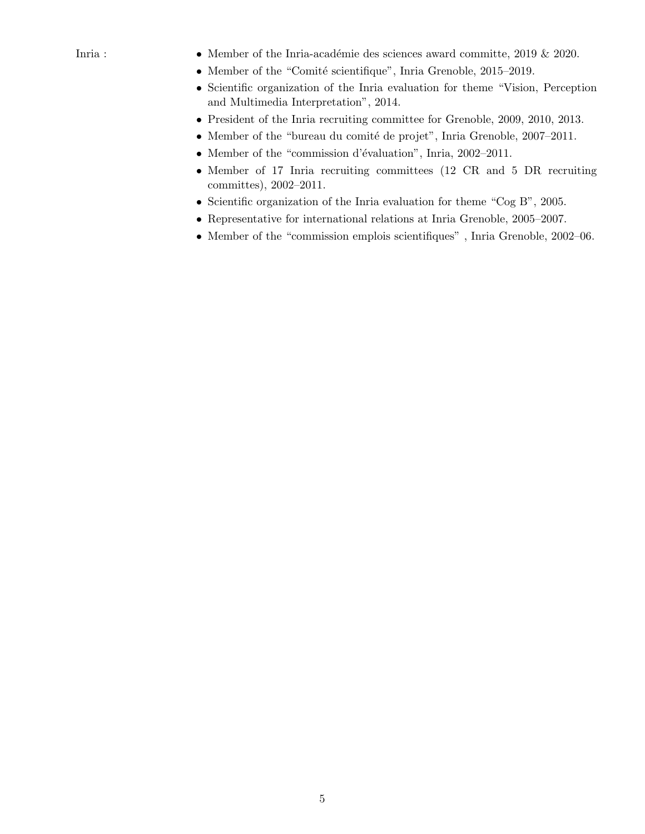- Inria : • Member of the Inria-académie des sciences award committe, 2019 & 2020.
	- Member of the "Comité scientifique", Inria Grenoble, 2015–2019.
	- Scientific organization of the Inria evaluation for theme "Vision, Perception and Multimedia Interpretation", 2014.
	- President of the Inria recruiting committee for Grenoble, 2009, 2010, 2013.
	- Member of the "bureau du comité de projet", Inria Grenoble,  $2007-2011$ .
	- Member of the "commission d'évaluation", Inria, 2002–2011.
	- Member of 17 Inria recruiting committees (12 CR and 5 DR recruiting committes), 2002–2011.
	- Scientific organization of the Inria evaluation for theme "Cog B", 2005.
	- Representative for international relations at Inria Grenoble, 2005–2007.
	- Member of the "commission emplois scientifiques" , Inria Grenoble, 2002–06.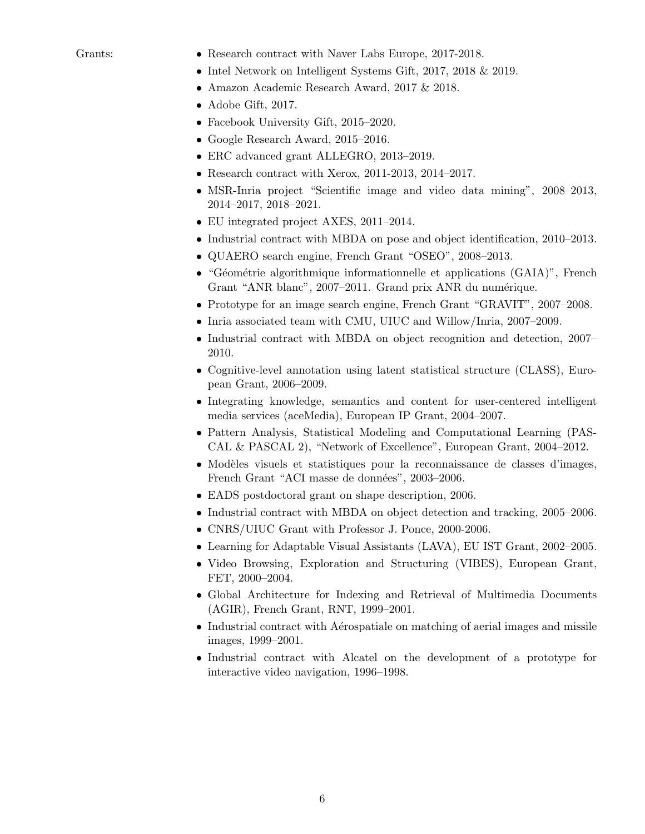- Grants: Research contract with Naver Labs Europe, 2017-2018.
	- Intel Network on Intelligent Systems Gift, 2017, 2018 & 2019.
	- Amazon Academic Research Award, 2017 & 2018.
	- Adobe Gift, 2017.
	- Facebook University Gift, 2015–2020.
	- Google Research Award, 2015–2016.
	- ERC advanced grant ALLEGRO, 2013–2019.
	- Research contract with Xerox, 2011-2013, 2014–2017.
	- MSR-Inria project "Scientific image and video data mining", 2008–2013, 2014–2017, 2018–2021.
	- EU integrated project AXES, 2011–2014.
	- Industrial contract with MBDA on pose and object identification, 2010–2013.
	- QUAERO search engine, French Grant "OSEO", 2008–2013.
	- "Géométrie algorithmique informationnelle et applications (GAIA)", French Grant "ANR blanc", 2007–2011. Grand prix ANR du numérique.
	- Prototype for an image search engine, French Grant "GRAVIT", 2007–2008.
	- Inria associated team with CMU, UIUC and Willow/Inria, 2007–2009.
	- Industrial contract with MBDA on object recognition and detection, 2007– 2010.
	- Cognitive-level annotation using latent statistical structure (CLASS), European Grant, 2006–2009.
	- Integrating knowledge, semantics and content for user-centered intelligent media services (aceMedia), European IP Grant, 2004–2007.
	- Pattern Analysis, Statistical Modeling and Computational Learning (PAS-CAL & PASCAL 2), "Network of Excellence", European Grant, 2004–2012.
	- Modèles visuels et statistiques pour la reconnaissance de classes d'images, French Grant "ACI masse de données", 2003–2006.
	- EADS postdoctoral grant on shape description, 2006.
	- Industrial contract with MBDA on object detection and tracking, 2005–2006.
	- CNRS/UIUC Grant with Professor J. Ponce, 2000-2006.
	- Learning for Adaptable Visual Assistants (LAVA), EU IST Grant, 2002–2005.
	- Video Browsing, Exploration and Structuring (VIBES), European Grant, FET, 2000–2004.
	- Global Architecture for Indexing and Retrieval of Multimedia Documents (AGIR), French Grant, RNT, 1999–2001.
	- Industrial contract with A $\acute{e}$ rospatiale on matching of aerial images and missile images, 1999–2001.
	- Industrial contract with Alcatel on the development of a prototype for interactive video navigation, 1996–1998.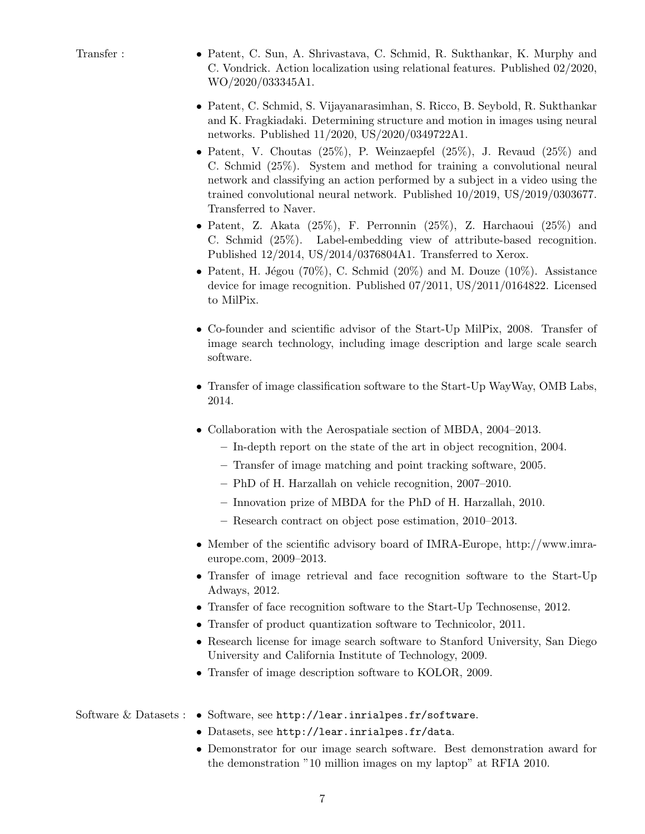- Transfer : Patent, C. Sun, A. Shrivastava, C. Schmid, R. Sukthankar, K. Murphy and C. Vondrick. Action localization using relational features. Published 02/2020, WO/2020/033345A1.
	- Patent, C. Schmid, S. Vijayanarasimhan, S. Ricco, B. Seybold, R. Sukthankar and K. Fragkiadaki. Determining structure and motion in images using neural networks. Published 11/2020, US/2020/0349722A1.
	- Patent, V. Choutas  $(25\%)$ , P. Weinzaepfel  $(25\%)$ , J. Revaud  $(25\%)$  and C. Schmid (25%). System and method for training a convolutional neural network and classifying an action performed by a subject in a video using the trained convolutional neural network. Published 10/2019, US/2019/0303677. Transferred to Naver.
	- Patent, Z. Akata (25%), F. Perronnin (25%), Z. Harchaoui (25%) and C. Schmid (25%). Label-embedding view of attribute-based recognition. Published 12/2014, US/2014/0376804A1. Transferred to Xerox.
	- Patent, H. Jégou (70%), C. Schmid (20%) and M. Douze (10%). Assistance device for image recognition. Published 07/2011, US/2011/0164822. Licensed to MilPix.
	- Co-founder and scientific advisor of the Start-Up MilPix, 2008. Transfer of image search technology, including image description and large scale search software.
	- Transfer of image classification software to the Start-Up WayWay, OMB Labs, 2014.
	- Collaboration with the Aerospatiale section of MBDA, 2004–2013.
		- In-depth report on the state of the art in object recognition, 2004.
		- Transfer of image matching and point tracking software, 2005.
		- PhD of H. Harzallah on vehicle recognition, 2007–2010.
		- Innovation prize of MBDA for the PhD of H. Harzallah, 2010.
		- Research contract on object pose estimation, 2010–2013.
	- Member of the scientific advisory board of IMRA-Europe, http://www.imraeurope.com, 2009–2013.
	- Transfer of image retrieval and face recognition software to the Start-Up Adways, 2012.
	- Transfer of face recognition software to the Start-Up Technosense, 2012.
	- Transfer of product quantization software to Technicolor, 2011.
	- Research license for image search software to Stanford University, San Diego University and California Institute of Technology, 2009.
	- Transfer of image description software to KOLOR, 2009.

# Software & Datasets : • Software, see http://lear.inrialpes.fr/software.

- Datasets, see http://lear.inrialpes.fr/data.
- Demonstrator for our image search software. Best demonstration award for the demonstration "10 million images on my laptop" at RFIA 2010.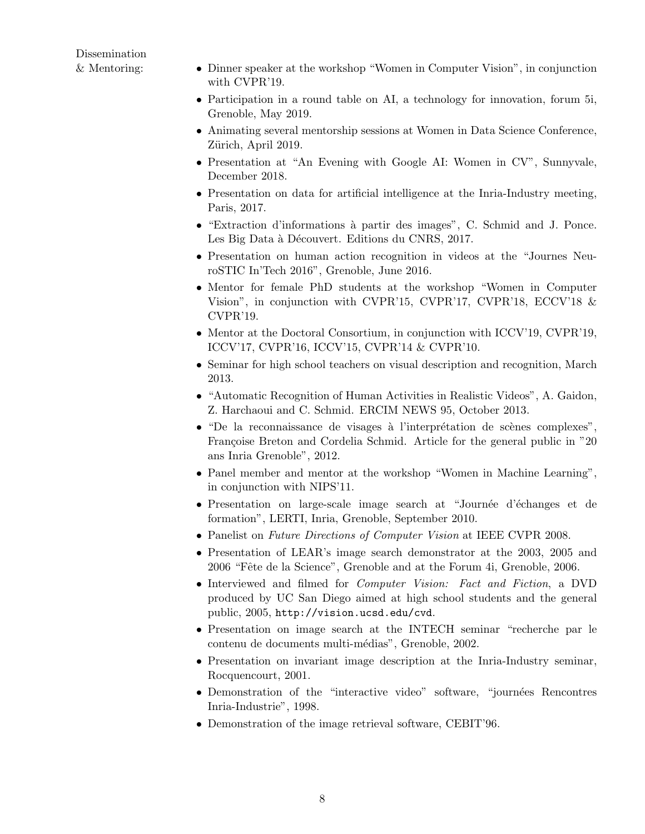Dissemination

- & Mentoring: Dinner speaker at the workshop "Women in Computer Vision", in conjunction with CVPR'19.
	- Participation in a round table on AI, a technology for innovation, forum 5i, Grenoble, May 2019.
	- Animating several mentorship sessions at Women in Data Science Conference, Zürich, April 2019.
	- Presentation at "An Evening with Google AI: Women in CV", Sunnyvale, December 2018.
	- Presentation on data for artificial intelligence at the Inria-Industry meeting, Paris, 2017.
	- "Extraction d'informations à partir des images", C. Schmid and J. Ponce. Les Big Data à Découvert. Editions du CNRS, 2017.
	- Presentation on human action recognition in videos at the "Journes NeuroSTIC In'Tech 2016", Grenoble, June 2016.
	- Mentor for female PhD students at the workshop "Women in Computer Vision", in conjunction with CVPR'15, CVPR'17, CVPR'18, ECCV'18 & CVPR'19.
	- Mentor at the Doctoral Consortium, in conjunction with ICCV'19, CVPR'19, ICCV'17, CVPR'16, ICCV'15, CVPR'14 & CVPR'10.
	- Seminar for high school teachers on visual description and recognition, March 2013.
	- "Automatic Recognition of Human Activities in Realistic Videos", A. Gaidon, Z. Harchaoui and C. Schmid. ERCIM NEWS 95, October 2013.
	- "De la reconnaissance de visages à l'interprétation de scènes complexes", Françoise Breton and Cordelia Schmid. Article for the general public in "20" ans Inria Grenoble", 2012.
	- Panel member and mentor at the workshop "Women in Machine Learning", in conjunction with NIPS'11.
	- Presentation on large-scale image search at "Journée d'échanges et de formation", LERTI, Inria, Grenoble, September 2010.
	- Panelist on Future Directions of Computer Vision at IEEE CVPR 2008.
	- Presentation of LEAR's image search demonstrator at the 2003, 2005 and 2006 "Fˆete de la Science", Grenoble and at the Forum 4i, Grenoble, 2006.
	- Interviewed and filmed for Computer Vision: Fact and Fiction, a DVD produced by UC San Diego aimed at high school students and the general public, 2005, http://vision.ucsd.edu/cvd.
	- Presentation on image search at the INTECH seminar "recherche par le contenu de documents multi-médias", Grenoble, 2002.
	- Presentation on invariant image description at the Inria-Industry seminar, Rocquencourt, 2001.
	- Demonstration of the "interactive video" software, "journées Rencontres Inria-Industrie", 1998.
	- Demonstration of the image retrieval software, CEBIT'96.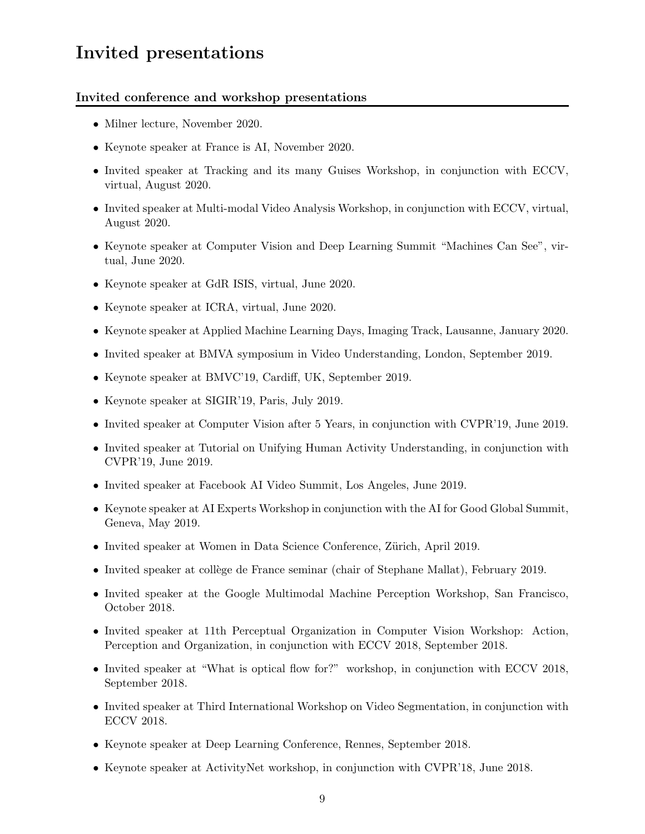# Invited presentations

### Invited conference and workshop presentations

- Milner lecture, November 2020.
- Keynote speaker at France is AI, November 2020.
- Invited speaker at Tracking and its many Guises Workshop, in conjunction with ECCV, virtual, August 2020.
- Invited speaker at Multi-modal Video Analysis Workshop, in conjunction with ECCV, virtual, August 2020.
- Keynote speaker at Computer Vision and Deep Learning Summit "Machines Can See", virtual, June 2020.
- Keynote speaker at GdR ISIS, virtual, June 2020.
- Keynote speaker at ICRA, virtual, June 2020.
- Keynote speaker at Applied Machine Learning Days, Imaging Track, Lausanne, January 2020.
- Invited speaker at BMVA symposium in Video Understanding, London, September 2019.
- Keynote speaker at BMVC'19, Cardiff, UK, September 2019.
- Keynote speaker at SIGIR'19, Paris, July 2019.
- Invited speaker at Computer Vision after 5 Years, in conjunction with CVPR'19, June 2019.
- Invited speaker at Tutorial on Unifying Human Activity Understanding, in conjunction with CVPR'19, June 2019.
- Invited speaker at Facebook AI Video Summit, Los Angeles, June 2019.
- Keynote speaker at AI Experts Workshop in conjunction with the AI for Good Global Summit, Geneva, May 2019.
- Invited speaker at Women in Data Science Conference, Zürich, April 2019.
- Invited speaker at collège de France seminar (chair of Stephane Mallat), February 2019.
- Invited speaker at the Google Multimodal Machine Perception Workshop, San Francisco, October 2018.
- Invited speaker at 11th Perceptual Organization in Computer Vision Workshop: Action, Perception and Organization, in conjunction with ECCV 2018, September 2018.
- Invited speaker at "What is optical flow for?" workshop, in conjunction with ECCV 2018, September 2018.
- Invited speaker at Third International Workshop on Video Segmentation, in conjunction with ECCV 2018.
- Keynote speaker at Deep Learning Conference, Rennes, September 2018.
- Keynote speaker at ActivityNet workshop, in conjunction with CVPR'18, June 2018.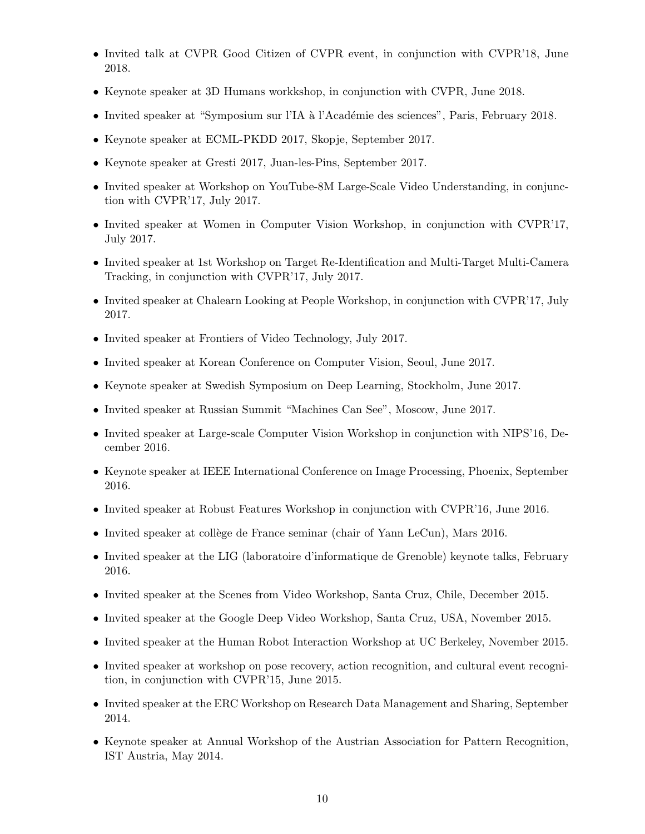- Invited talk at CVPR Good Citizen of CVPR event, in conjunction with CVPR'18, June 2018.
- Keynote speaker at 3D Humans workkshop, in conjunction with CVPR, June 2018.
- Invited speaker at "Symposium sur l'IA à l'Académie des sciences", Paris, February 2018.
- Keynote speaker at ECML-PKDD 2017, Skopje, September 2017.
- Keynote speaker at Gresti 2017, Juan-les-Pins, September 2017.
- Invited speaker at Workshop on YouTube-8M Large-Scale Video Understanding, in conjunction with CVPR'17, July 2017.
- Invited speaker at Women in Computer Vision Workshop, in conjunction with CVPR'17, July 2017.
- Invited speaker at 1st Workshop on Target Re-Identification and Multi-Target Multi-Camera Tracking, in conjunction with CVPR'17, July 2017.
- Invited speaker at Chalearn Looking at People Workshop, in conjunction with CVPR'17, July 2017.
- Invited speaker at Frontiers of Video Technology, July 2017.
- Invited speaker at Korean Conference on Computer Vision, Seoul, June 2017.
- Keynote speaker at Swedish Symposium on Deep Learning, Stockholm, June 2017.
- Invited speaker at Russian Summit "Machines Can See", Moscow, June 2017.
- Invited speaker at Large-scale Computer Vision Workshop in conjunction with NIPS'16, December 2016.
- Keynote speaker at IEEE International Conference on Image Processing, Phoenix, September 2016.
- Invited speaker at Robust Features Workshop in conjunction with CVPR'16, June 2016.
- Invited speaker at collège de France seminar (chair of Yann LeCun), Mars 2016.
- Invited speaker at the LIG (laboratoire d'informatique de Grenoble) keynote talks, February 2016.
- Invited speaker at the Scenes from Video Workshop, Santa Cruz, Chile, December 2015.
- Invited speaker at the Google Deep Video Workshop, Santa Cruz, USA, November 2015.
- Invited speaker at the Human Robot Interaction Workshop at UC Berkeley, November 2015.
- Invited speaker at workshop on pose recovery, action recognition, and cultural event recognition, in conjunction with CVPR'15, June 2015.
- Invited speaker at the ERC Workshop on Research Data Management and Sharing, September 2014.
- Keynote speaker at Annual Workshop of the Austrian Association for Pattern Recognition, IST Austria, May 2014.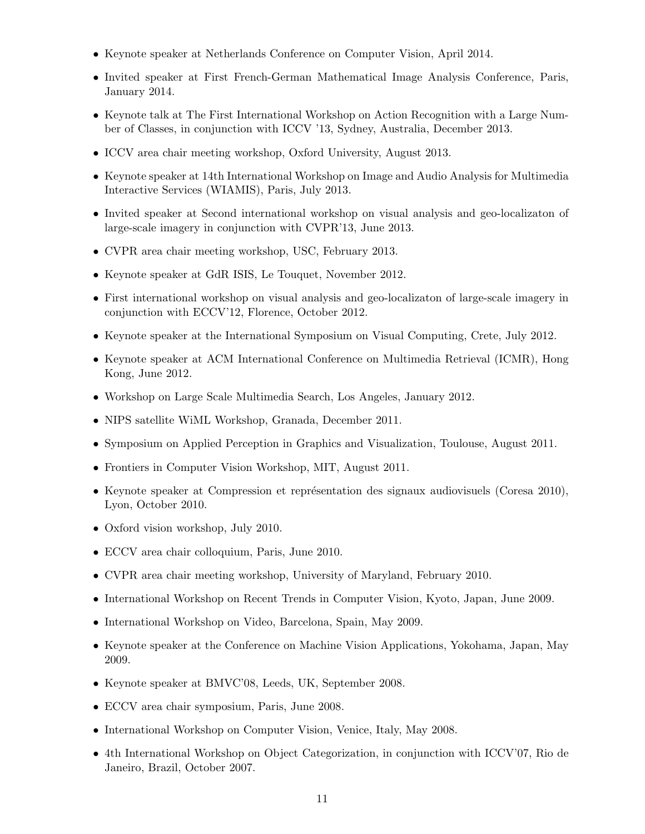- Keynote speaker at Netherlands Conference on Computer Vision, April 2014.
- Invited speaker at First French-German Mathematical Image Analysis Conference, Paris, January 2014.
- Keynote talk at The First International Workshop on Action Recognition with a Large Number of Classes, in conjunction with ICCV '13, Sydney, Australia, December 2013.
- ICCV area chair meeting workshop, Oxford University, August 2013.
- Keynote speaker at 14th International Workshop on Image and Audio Analysis for Multimedia Interactive Services (WIAMIS), Paris, July 2013.
- Invited speaker at Second international workshop on visual analysis and geo-localizaton of large-scale imagery in conjunction with CVPR'13, June 2013.
- CVPR area chair meeting workshop, USC, February 2013.
- Keynote speaker at GdR ISIS, Le Touquet, November 2012.
- First international workshop on visual analysis and geo-localizaton of large-scale imagery in conjunction with ECCV'12, Florence, October 2012.
- Keynote speaker at the International Symposium on Visual Computing, Crete, July 2012.
- Keynote speaker at ACM International Conference on Multimedia Retrieval (ICMR), Hong Kong, June 2012.
- Workshop on Large Scale Multimedia Search, Los Angeles, January 2012.
- NIPS satellite WiML Workshop, Granada, December 2011.
- Symposium on Applied Perception in Graphics and Visualization, Toulouse, August 2011.
- Frontiers in Computer Vision Workshop, MIT, August 2011.
- Keynote speaker at Compression et représentation des signaux audiovisuels (Coresa 2010), Lyon, October 2010.
- Oxford vision workshop, July 2010.
- ECCV area chair colloquium, Paris, June 2010.
- CVPR area chair meeting workshop, University of Maryland, February 2010.
- International Workshop on Recent Trends in Computer Vision, Kyoto, Japan, June 2009.
- International Workshop on Video, Barcelona, Spain, May 2009.
- Keynote speaker at the Conference on Machine Vision Applications, Yokohama, Japan, May 2009.
- Keynote speaker at BMVC'08, Leeds, UK, September 2008.
- ECCV area chair symposium, Paris, June 2008.
- International Workshop on Computer Vision, Venice, Italy, May 2008.
- 4th International Workshop on Object Categorization, in conjunction with ICCV'07, Rio de Janeiro, Brazil, October 2007.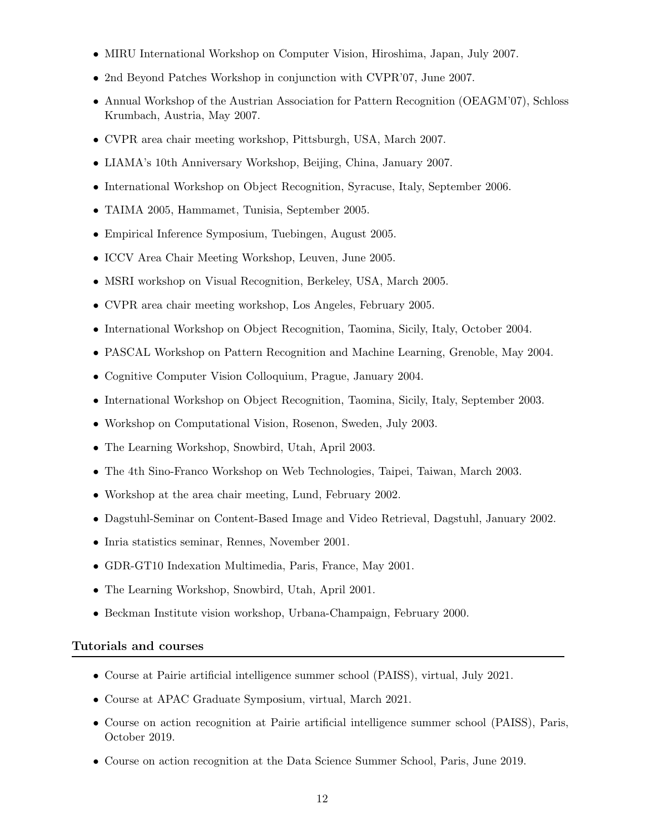- MIRU International Workshop on Computer Vision, Hiroshima, Japan, July 2007.
- 2nd Beyond Patches Workshop in conjunction with CVPR'07, June 2007.
- Annual Workshop of the Austrian Association for Pattern Recognition (OEAGM'07), Schloss Krumbach, Austria, May 2007.
- CVPR area chair meeting workshop, Pittsburgh, USA, March 2007.
- LIAMA's 10th Anniversary Workshop, Beijing, China, January 2007.
- International Workshop on Object Recognition, Syracuse, Italy, September 2006.
- TAIMA 2005, Hammamet, Tunisia, September 2005.
- Empirical Inference Symposium, Tuebingen, August 2005.
- ICCV Area Chair Meeting Workshop, Leuven, June 2005.
- MSRI workshop on Visual Recognition, Berkeley, USA, March 2005.
- CVPR area chair meeting workshop, Los Angeles, February 2005.
- International Workshop on Object Recognition, Taomina, Sicily, Italy, October 2004.
- PASCAL Workshop on Pattern Recognition and Machine Learning, Grenoble, May 2004.
- Cognitive Computer Vision Colloquium, Prague, January 2004.
- International Workshop on Object Recognition, Taomina, Sicily, Italy, September 2003.
- Workshop on Computational Vision, Rosenon, Sweden, July 2003.
- The Learning Workshop, Snowbird, Utah, April 2003.
- The 4th Sino-Franco Workshop on Web Technologies, Taipei, Taiwan, March 2003.
- Workshop at the area chair meeting, Lund, February 2002.
- Dagstuhl-Seminar on Content-Based Image and Video Retrieval, Dagstuhl, January 2002.
- Inria statistics seminar, Rennes, November 2001.
- GDR-GT10 Indexation Multimedia, Paris, France, May 2001.
- The Learning Workshop, Snowbird, Utah, April 2001.
- Beckman Institute vision workshop, Urbana-Champaign, February 2000.

#### Tutorials and courses

- Course at Pairie artificial intelligence summer school (PAISS), virtual, July 2021.
- Course at APAC Graduate Symposium, virtual, March 2021.
- Course on action recognition at Pairie artificial intelligence summer school (PAISS), Paris, October 2019.
- Course on action recognition at the Data Science Summer School, Paris, June 2019.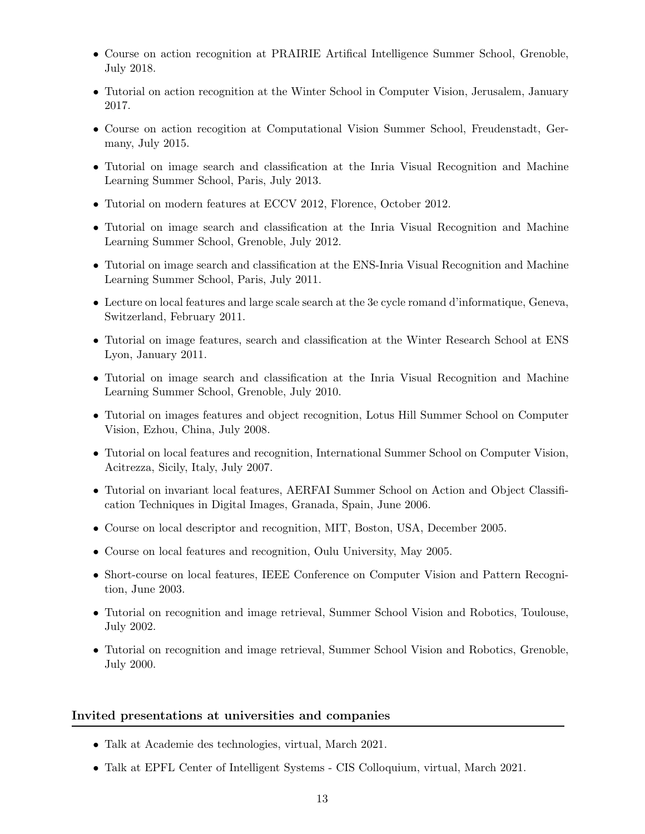- Course on action recognition at PRAIRIE Artifical Intelligence Summer School, Grenoble, July 2018.
- Tutorial on action recognition at the Winter School in Computer Vision, Jerusalem, January 2017.
- Course on action recogition at Computational Vision Summer School, Freudenstadt, Germany, July 2015.
- Tutorial on image search and classification at the Inria Visual Recognition and Machine Learning Summer School, Paris, July 2013.
- Tutorial on modern features at ECCV 2012, Florence, October 2012.
- Tutorial on image search and classification at the Inria Visual Recognition and Machine Learning Summer School, Grenoble, July 2012.
- Tutorial on image search and classification at the ENS-Inria Visual Recognition and Machine Learning Summer School, Paris, July 2011.
- Lecture on local features and large scale search at the 3e cycle romand d'informatique, Geneva, Switzerland, February 2011.
- Tutorial on image features, search and classification at the Winter Research School at ENS Lyon, January 2011.
- Tutorial on image search and classification at the Inria Visual Recognition and Machine Learning Summer School, Grenoble, July 2010.
- Tutorial on images features and object recognition, Lotus Hill Summer School on Computer Vision, Ezhou, China, July 2008.
- Tutorial on local features and recognition, International Summer School on Computer Vision, Acitrezza, Sicily, Italy, July 2007.
- Tutorial on invariant local features, AERFAI Summer School on Action and Object Classification Techniques in Digital Images, Granada, Spain, June 2006.
- Course on local descriptor and recognition, MIT, Boston, USA, December 2005.
- Course on local features and recognition, Oulu University, May 2005.
- Short-course on local features, IEEE Conference on Computer Vision and Pattern Recognition, June 2003.
- Tutorial on recognition and image retrieval, Summer School Vision and Robotics, Toulouse, July 2002.
- Tutorial on recognition and image retrieval, Summer School Vision and Robotics, Grenoble, July 2000.

#### Invited presentations at universities and companies

- Talk at Academie des technologies, virtual, March 2021.
- Talk at EPFL Center of Intelligent Systems CIS Colloquium, virtual, March 2021.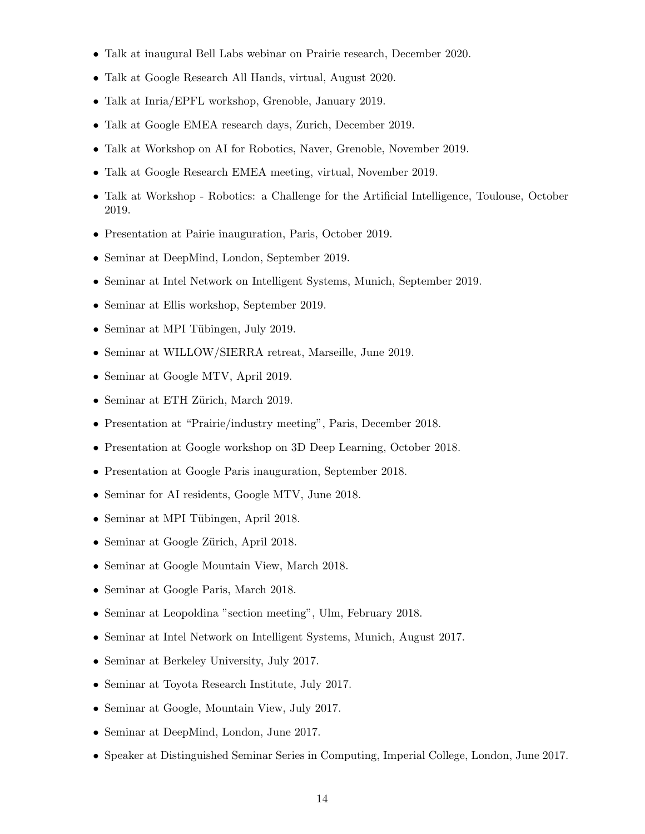- Talk at inaugural Bell Labs webinar on Prairie research, December 2020.
- Talk at Google Research All Hands, virtual, August 2020.
- Talk at Inria/EPFL workshop, Grenoble, January 2019.
- Talk at Google EMEA research days, Zurich, December 2019.
- Talk at Workshop on AI for Robotics, Naver, Grenoble, November 2019.
- Talk at Google Research EMEA meeting, virtual, November 2019.
- Talk at Workshop Robotics: a Challenge for the Artificial Intelligence, Toulouse, October 2019.
- Presentation at Pairie inauguration, Paris, October 2019.
- Seminar at DeepMind, London, September 2019.
- Seminar at Intel Network on Intelligent Systems, Munich, September 2019.
- Seminar at Ellis workshop, September 2019.
- Seminar at MPI Tübingen, July 2019.
- Seminar at WILLOW/SIERRA retreat, Marseille, June 2019.
- Seminar at Google MTV, April 2019.
- Seminar at ETH Zürich, March 2019.
- Presentation at "Prairie/industry meeting", Paris, December 2018.
- Presentation at Google workshop on 3D Deep Learning, October 2018.
- Presentation at Google Paris inauguration, September 2018.
- Seminar for AI residents, Google MTV, June 2018.
- Seminar at MPI Tübingen, April 2018.
- Seminar at Google Zürich, April 2018.
- Seminar at Google Mountain View, March 2018.
- Seminar at Google Paris, March 2018.
- Seminar at Leopoldina "section meeting", Ulm, February 2018.
- Seminar at Intel Network on Intelligent Systems, Munich, August 2017.
- Seminar at Berkeley University, July 2017.
- Seminar at Toyota Research Institute, July 2017.
- Seminar at Google, Mountain View, July 2017.
- Seminar at DeepMind, London, June 2017.
- Speaker at Distinguished Seminar Series in Computing, Imperial College, London, June 2017.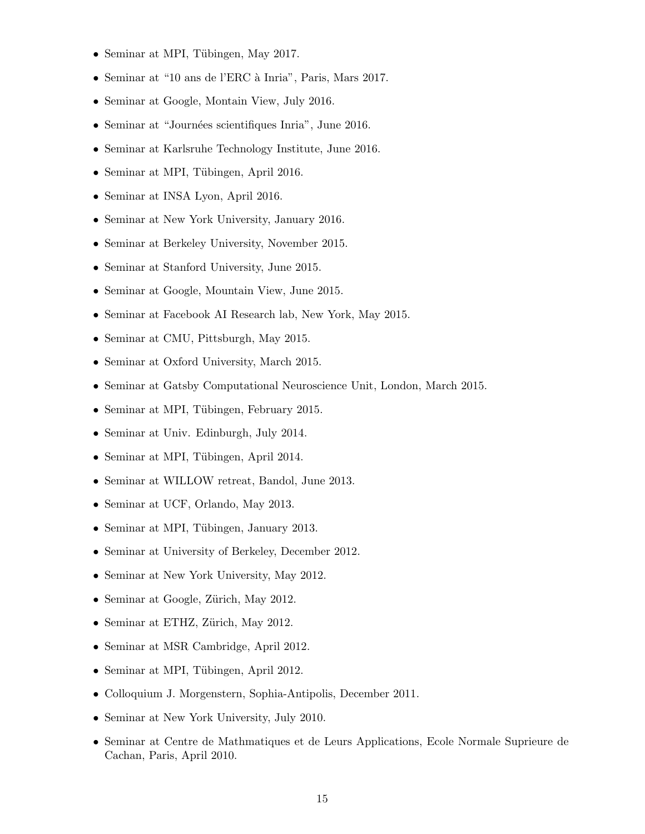- Seminar at MPI, Tübingen, May 2017.
- Seminar at "10 ans de l'ERC à Inria", Paris, Mars 2017.
- Seminar at Google, Montain View, July 2016.
- Seminar at "Journées scientifiques Inria", June 2016.
- Seminar at Karlsruhe Technology Institute, June 2016.
- Seminar at MPI, Tübingen, April 2016.
- Seminar at INSA Lyon, April 2016.
- Seminar at New York University, January 2016.
- Seminar at Berkeley University, November 2015.
- Seminar at Stanford University, June 2015.
- Seminar at Google, Mountain View, June 2015.
- Seminar at Facebook AI Research lab, New York, May 2015.
- Seminar at CMU, Pittsburgh, May 2015.
- Seminar at Oxford University, March 2015.
- Seminar at Gatsby Computational Neuroscience Unit, London, March 2015.
- Seminar at MPI, Tübingen, February 2015.
- Seminar at Univ. Edinburgh, July 2014.
- Seminar at MPI, Tübingen, April 2014.
- Seminar at WILLOW retreat, Bandol, June 2013.
- Seminar at UCF, Orlando, May 2013.
- Seminar at MPI, Tübingen, January 2013.
- Seminar at University of Berkeley, December 2012.
- Seminar at New York University, May 2012.
- Seminar at Google, Zürich, May 2012.
- Seminar at ETHZ, Zürich, May 2012.
- Seminar at MSR Cambridge, April 2012.
- Seminar at MPI, Tübingen, April 2012.
- Colloquium J. Morgenstern, Sophia-Antipolis, December 2011.
- Seminar at New York University, July 2010.
- Seminar at Centre de Mathmatiques et de Leurs Applications, Ecole Normale Suprieure de Cachan, Paris, April 2010.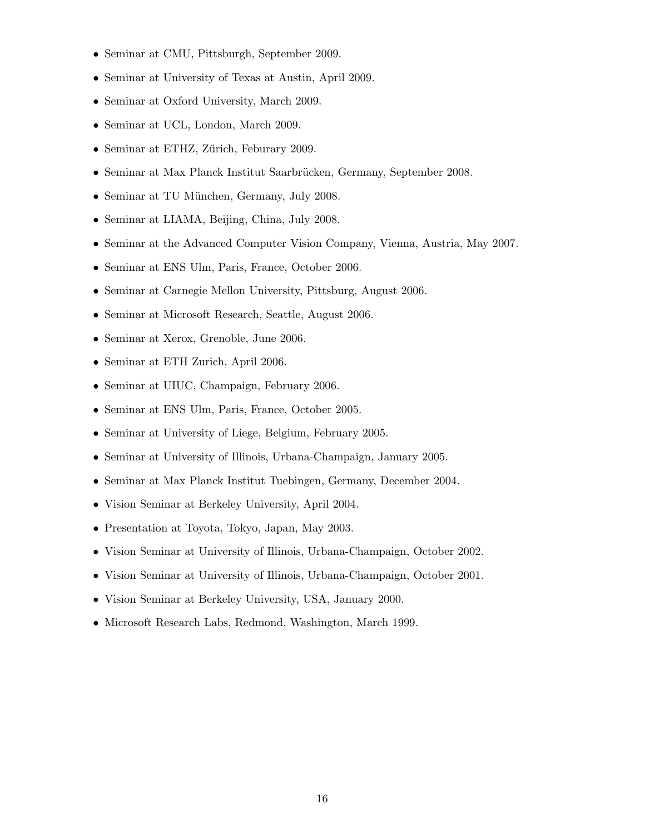- Seminar at CMU, Pittsburgh, September 2009.
- Seminar at University of Texas at Austin, April 2009.
- Seminar at Oxford University, March 2009.
- Seminar at UCL, London, March 2009.
- Seminar at ETHZ, Zürich, Feburary 2009.
- Seminar at Max Planck Institut Saarbrücken, Germany, September 2008.
- Seminar at TU München, Germany, July 2008.
- Seminar at LIAMA, Beijing, China, July 2008.
- Seminar at the Advanced Computer Vision Company, Vienna, Austria, May 2007.
- Seminar at ENS Ulm, Paris, France, October 2006.
- Seminar at Carnegie Mellon University, Pittsburg, August 2006.
- Seminar at Microsoft Research, Seattle, August 2006.
- Seminar at Xerox, Grenoble, June 2006.
- Seminar at ETH Zurich, April 2006.
- Seminar at UIUC, Champaign, February 2006.
- Seminar at ENS Ulm, Paris, France, October 2005.
- Seminar at University of Liege, Belgium, February 2005.
- Seminar at University of Illinois, Urbana-Champaign, January 2005.
- Seminar at Max Planck Institut Tuebingen, Germany, December 2004.
- Vision Seminar at Berkeley University, April 2004.
- Presentation at Toyota, Tokyo, Japan, May 2003.
- Vision Seminar at University of Illinois, Urbana-Champaign, October 2002.
- Vision Seminar at University of Illinois, Urbana-Champaign, October 2001.
- Vision Seminar at Berkeley University, USA, January 2000.
- Microsoft Research Labs, Redmond, Washington, March 1999.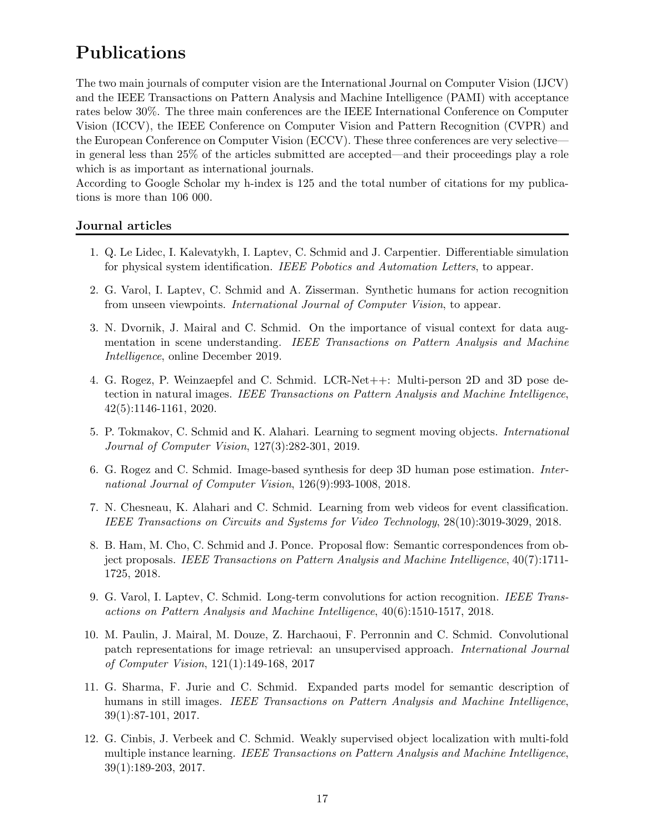# Publications

The two main journals of computer vision are the International Journal on Computer Vision (IJCV) and the IEEE Transactions on Pattern Analysis and Machine Intelligence (PAMI) with acceptance rates below 30%. The three main conferences are the IEEE International Conference on Computer Vision (ICCV), the IEEE Conference on Computer Vision and Pattern Recognition (CVPR) and the European Conference on Computer Vision (ECCV). These three conferences are very selective in general less than 25% of the articles submitted are accepted—and their proceedings play a role which is as important as international journals.

According to Google Scholar my h-index is 125 and the total number of citations for my publications is more than 106 000.

# Journal articles

- 1. Q. Le Lidec, I. Kalevatykh, I. Laptev, C. Schmid and J. Carpentier. Differentiable simulation for physical system identification. IEEE Pobotics and Automation Letters, to appear.
- 2. G. Varol, I. Laptev, C. Schmid and A. Zisserman. Synthetic humans for action recognition from unseen viewpoints. International Journal of Computer Vision, to appear.
- 3. N. Dvornik, J. Mairal and C. Schmid. On the importance of visual context for data augmentation in scene understanding. IEEE Transactions on Pattern Analysis and Machine Intelligence, online December 2019.
- 4. G. Rogez, P. Weinzaepfel and C. Schmid. LCR-Net++: Multi-person 2D and 3D pose detection in natural images. IEEE Transactions on Pattern Analysis and Machine Intelligence, 42(5):1146-1161, 2020.
- 5. P. Tokmakov, C. Schmid and K. Alahari. Learning to segment moving objects. International Journal of Computer Vision, 127(3):282-301, 2019.
- 6. G. Rogez and C. Schmid. Image-based synthesis for deep 3D human pose estimation. International Journal of Computer Vision, 126(9):993-1008, 2018.
- 7. N. Chesneau, K. Alahari and C. Schmid. Learning from web videos for event classification. IEEE Transactions on Circuits and Systems for Video Technology, 28(10):3019-3029, 2018.
- 8. B. Ham, M. Cho, C. Schmid and J. Ponce. Proposal flow: Semantic correspondences from object proposals. IEEE Transactions on Pattern Analysis and Machine Intelligence, 40(7):1711- 1725, 2018.
- 9. G. Varol, I. Laptev, C. Schmid. Long-term convolutions for action recognition. IEEE Transactions on Pattern Analysis and Machine Intelligence, 40(6):1510-1517, 2018.
- 10. M. Paulin, J. Mairal, M. Douze, Z. Harchaoui, F. Perronnin and C. Schmid. Convolutional patch representations for image retrieval: an unsupervised approach. International Journal of Computer Vision, 121(1):149-168, 2017
- 11. G. Sharma, F. Jurie and C. Schmid. Expanded parts model for semantic description of humans in still images. IEEE Transactions on Pattern Analysis and Machine Intelligence, 39(1):87-101, 2017.
- 12. G. Cinbis, J. Verbeek and C. Schmid. Weakly supervised object localization with multi-fold multiple instance learning. IEEE Transactions on Pattern Analysis and Machine Intelligence, 39(1):189-203, 2017.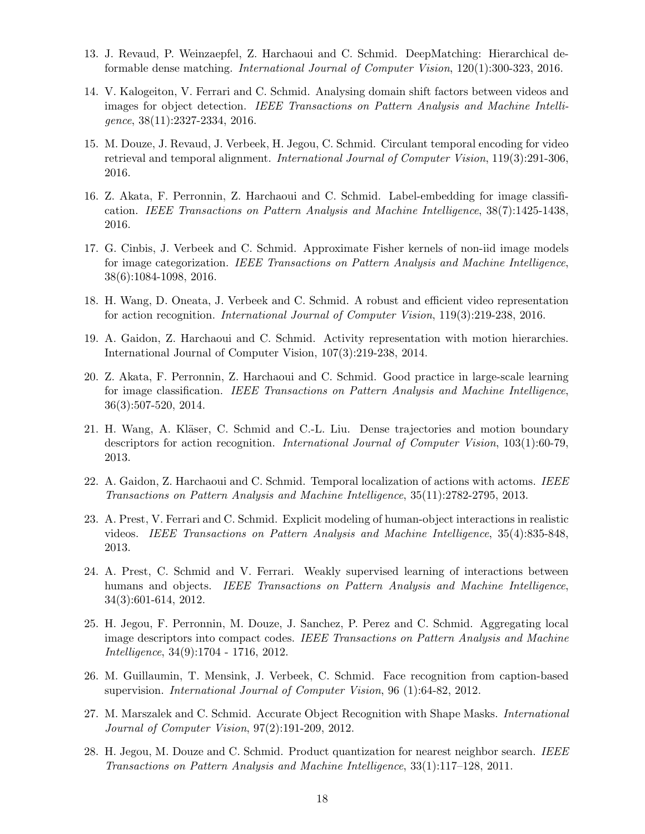- 13. J. Revaud, P. Weinzaepfel, Z. Harchaoui and C. Schmid. DeepMatching: Hierarchical deformable dense matching. International Journal of Computer Vision, 120(1):300-323, 2016.
- 14. V. Kalogeiton, V. Ferrari and C. Schmid. Analysing domain shift factors between videos and images for object detection. IEEE Transactions on Pattern Analysis and Machine Intelligence, 38(11):2327-2334, 2016.
- 15. M. Douze, J. Revaud, J. Verbeek, H. Jegou, C. Schmid. Circulant temporal encoding for video retrieval and temporal alignment. International Journal of Computer Vision, 119(3):291-306, 2016.
- 16. Z. Akata, F. Perronnin, Z. Harchaoui and C. Schmid. Label-embedding for image classification. IEEE Transactions on Pattern Analysis and Machine Intelligence, 38(7):1425-1438, 2016.
- 17. G. Cinbis, J. Verbeek and C. Schmid. Approximate Fisher kernels of non-iid image models for image categorization. IEEE Transactions on Pattern Analysis and Machine Intelligence, 38(6):1084-1098, 2016.
- 18. H. Wang, D. Oneata, J. Verbeek and C. Schmid. A robust and efficient video representation for action recognition. International Journal of Computer Vision, 119(3):219-238, 2016.
- 19. A. Gaidon, Z. Harchaoui and C. Schmid. Activity representation with motion hierarchies. International Journal of Computer Vision, 107(3):219-238, 2014.
- 20. Z. Akata, F. Perronnin, Z. Harchaoui and C. Schmid. Good practice in large-scale learning for image classification. IEEE Transactions on Pattern Analysis and Machine Intelligence, 36(3):507-520, 2014.
- 21. H. Wang, A. Kläser, C. Schmid and C.-L. Liu. Dense trajectories and motion boundary descriptors for action recognition. *International Journal of Computer Vision*, 103(1):60-79, 2013.
- 22. A. Gaidon, Z. Harchaoui and C. Schmid. Temporal localization of actions with actoms. IEEE Transactions on Pattern Analysis and Machine Intelligence, 35(11):2782-2795, 2013.
- 23. A. Prest, V. Ferrari and C. Schmid. Explicit modeling of human-object interactions in realistic videos. IEEE Transactions on Pattern Analysis and Machine Intelligence, 35(4):835-848, 2013.
- 24. A. Prest, C. Schmid and V. Ferrari. Weakly supervised learning of interactions between humans and objects. IEEE Transactions on Pattern Analysis and Machine Intelligence, 34(3):601-614, 2012.
- 25. H. Jegou, F. Perronnin, M. Douze, J. Sanchez, P. Perez and C. Schmid. Aggregating local image descriptors into compact codes. IEEE Transactions on Pattern Analysis and Machine Intelligence, 34(9):1704 - 1716, 2012.
- 26. M. Guillaumin, T. Mensink, J. Verbeek, C. Schmid. Face recognition from caption-based supervision. International Journal of Computer Vision, 96 (1):64-82, 2012.
- 27. M. Marszalek and C. Schmid. Accurate Object Recognition with Shape Masks. International Journal of Computer Vision, 97(2):191-209, 2012.
- 28. H. Jegou, M. Douze and C. Schmid. Product quantization for nearest neighbor search. IEEE Transactions on Pattern Analysis and Machine Intelligence, 33(1):117–128, 2011.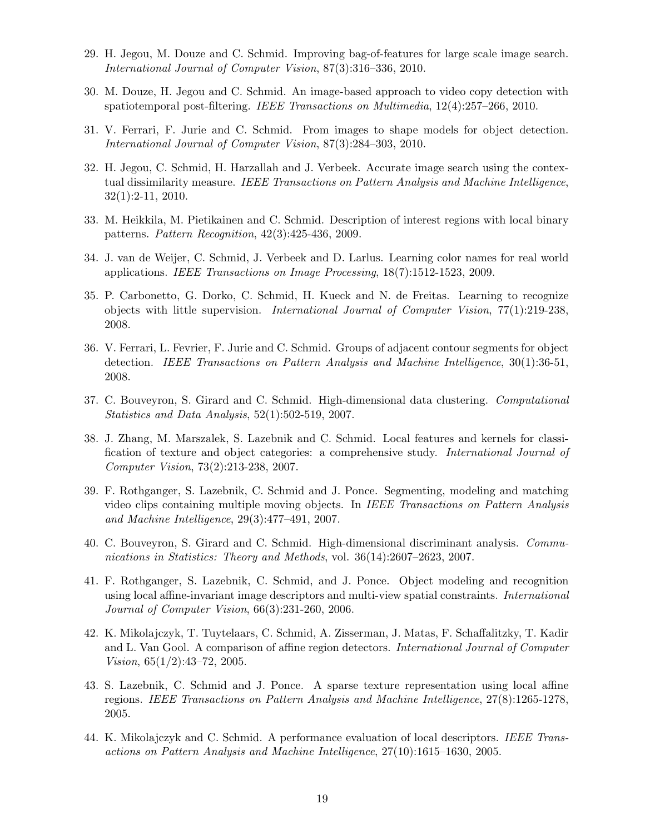- 29. H. Jegou, M. Douze and C. Schmid. Improving bag-of-features for large scale image search. International Journal of Computer Vision, 87(3):316–336, 2010.
- 30. M. Douze, H. Jegou and C. Schmid. An image-based approach to video copy detection with spatiotemporal post-filtering. IEEE Transactions on Multimedia, 12(4):257–266, 2010.
- 31. V. Ferrari, F. Jurie and C. Schmid. From images to shape models for object detection. International Journal of Computer Vision, 87(3):284–303, 2010.
- 32. H. Jegou, C. Schmid, H. Harzallah and J. Verbeek. Accurate image search using the contextual dissimilarity measure. IEEE Transactions on Pattern Analysis and Machine Intelligence, 32(1):2-11, 2010.
- 33. M. Heikkila, M. Pietikainen and C. Schmid. Description of interest regions with local binary patterns. Pattern Recognition, 42(3):425-436, 2009.
- 34. J. van de Weijer, C. Schmid, J. Verbeek and D. Larlus. Learning color names for real world applications. IEEE Transactions on Image Processing, 18(7):1512-1523, 2009.
- 35. P. Carbonetto, G. Dorko, C. Schmid, H. Kueck and N. de Freitas. Learning to recognize objects with little supervision. International Journal of Computer Vision, 77(1):219-238, 2008.
- 36. V. Ferrari, L. Fevrier, F. Jurie and C. Schmid. Groups of adjacent contour segments for object detection. IEEE Transactions on Pattern Analysis and Machine Intelligence, 30(1):36-51, 2008.
- 37. C. Bouveyron, S. Girard and C. Schmid. High-dimensional data clustering. Computational Statistics and Data Analysis, 52(1):502-519, 2007.
- 38. J. Zhang, M. Marszalek, S. Lazebnik and C. Schmid. Local features and kernels for classification of texture and object categories: a comprehensive study. International Journal of Computer Vision, 73(2):213-238, 2007.
- 39. F. Rothganger, S. Lazebnik, C. Schmid and J. Ponce. Segmenting, modeling and matching video clips containing multiple moving objects. In IEEE Transactions on Pattern Analysis and Machine Intelligence, 29(3):477–491, 2007.
- 40. C. Bouveyron, S. Girard and C. Schmid. High-dimensional discriminant analysis. Communications in Statistics: Theory and Methods, vol. 36(14):2607–2623, 2007.
- 41. F. Rothganger, S. Lazebnik, C. Schmid, and J. Ponce. Object modeling and recognition using local affine-invariant image descriptors and multi-view spatial constraints. International Journal of Computer Vision, 66(3):231-260, 2006.
- 42. K. Mikolajczyk, T. Tuytelaars, C. Schmid, A. Zisserman, J. Matas, F. Schaffalitzky, T. Kadir and L. Van Gool. A comparison of affine region detectors. *International Journal of Computer* Vision, 65(1/2):43–72, 2005.
- 43. S. Lazebnik, C. Schmid and J. Ponce. A sparse texture representation using local affine regions. IEEE Transactions on Pattern Analysis and Machine Intelligence, 27(8):1265-1278, 2005.
- 44. K. Mikolajczyk and C. Schmid. A performance evaluation of local descriptors. IEEE Transactions on Pattern Analysis and Machine Intelligence, 27(10):1615–1630, 2005.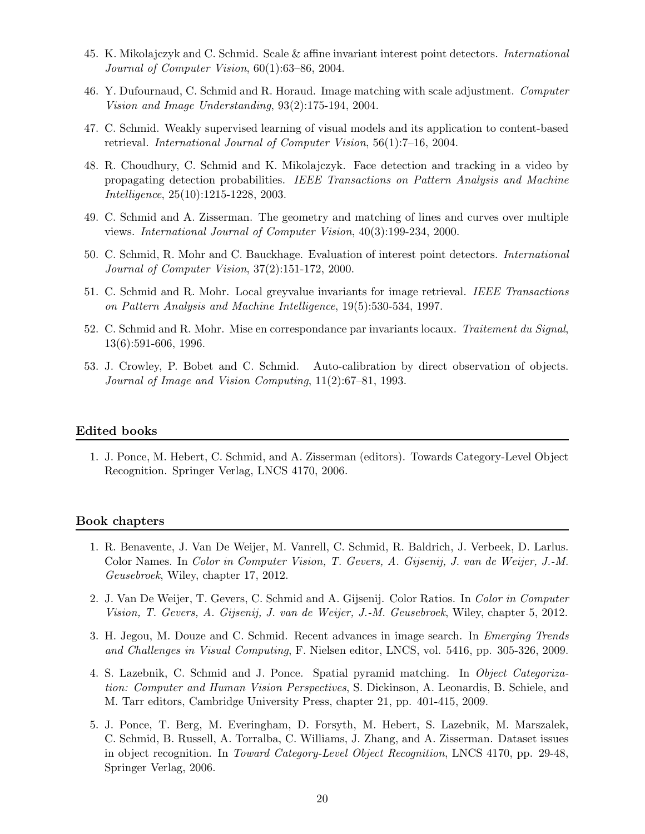- 45. K. Mikolajczyk and C. Schmid. Scale & affine invariant interest point detectors. International Journal of Computer Vision, 60(1):63–86, 2004.
- 46. Y. Dufournaud, C. Schmid and R. Horaud. Image matching with scale adjustment. Computer Vision and Image Understanding, 93(2):175-194, 2004.
- 47. C. Schmid. Weakly supervised learning of visual models and its application to content-based retrieval. International Journal of Computer Vision, 56(1):7–16, 2004.
- 48. R. Choudhury, C. Schmid and K. Mikolajczyk. Face detection and tracking in a video by propagating detection probabilities. IEEE Transactions on Pattern Analysis and Machine Intelligence, 25(10):1215-1228, 2003.
- 49. C. Schmid and A. Zisserman. The geometry and matching of lines and curves over multiple views. International Journal of Computer Vision, 40(3):199-234, 2000.
- 50. C. Schmid, R. Mohr and C. Bauckhage. Evaluation of interest point detectors. International Journal of Computer Vision, 37(2):151-172, 2000.
- 51. C. Schmid and R. Mohr. Local greyvalue invariants for image retrieval. IEEE Transactions on Pattern Analysis and Machine Intelligence, 19(5):530-534, 1997.
- 52. C. Schmid and R. Mohr. Mise en correspondance par invariants locaux. Traitement du Signal, 13(6):591-606, 1996.
- 53. J. Crowley, P. Bobet and C. Schmid. Auto-calibration by direct observation of objects. Journal of Image and Vision Computing, 11(2):67–81, 1993.

#### Edited books

1. J. Ponce, M. Hebert, C. Schmid, and A. Zisserman (editors). Towards Category-Level Object Recognition. Springer Verlag, LNCS 4170, 2006.

#### Book chapters

- 1. R. Benavente, J. Van De Weijer, M. Vanrell, C. Schmid, R. Baldrich, J. Verbeek, D. Larlus. Color Names. In Color in Computer Vision, T. Gevers, A. Gijsenij, J. van de Weijer, J.-M. Geusebroek, Wiley, chapter 17, 2012.
- 2. J. Van De Weijer, T. Gevers, C. Schmid and A. Gijsenij. Color Ratios. In Color in Computer Vision, T. Gevers, A. Gijsenij, J. van de Weijer, J.-M. Geusebroek, Wiley, chapter 5, 2012.
- 3. H. Jegou, M. Douze and C. Schmid. Recent advances in image search. In Emerging Trends and Challenges in Visual Computing, F. Nielsen editor, LNCS, vol. 5416, pp. 305-326, 2009.
- 4. S. Lazebnik, C. Schmid and J. Ponce. Spatial pyramid matching. In Object Categorization: Computer and Human Vision Perspectives, S. Dickinson, A. Leonardis, B. Schiele, and M. Tarr editors, Cambridge University Press, chapter 21, pp. 401-415, 2009.
- 5. J. Ponce, T. Berg, M. Everingham, D. Forsyth, M. Hebert, S. Lazebnik, M. Marszalek, C. Schmid, B. Russell, A. Torralba, C. Williams, J. Zhang, and A. Zisserman. Dataset issues in object recognition. In Toward Category-Level Object Recognition, LNCS 4170, pp. 29-48, Springer Verlag, 2006.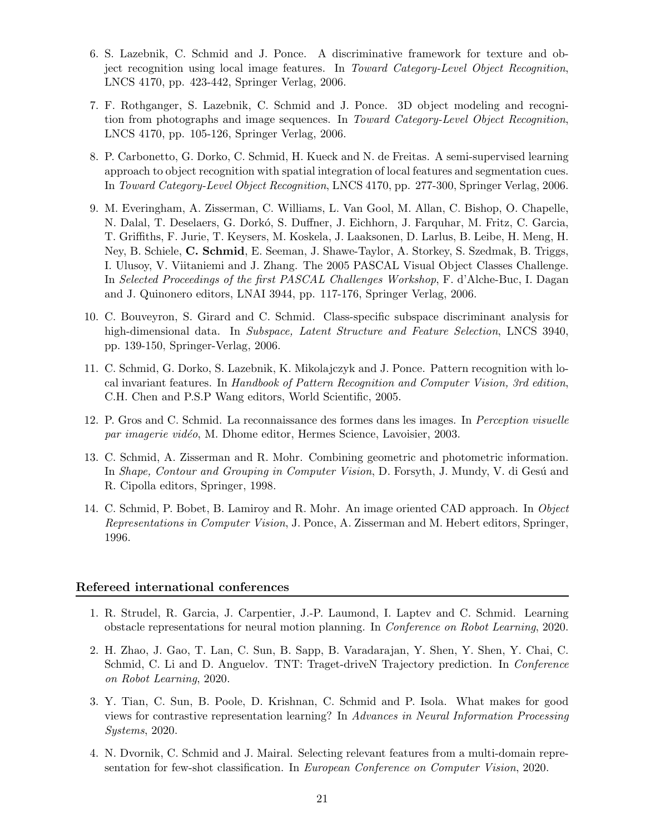- 6. S. Lazebnik, C. Schmid and J. Ponce. A discriminative framework for texture and object recognition using local image features. In Toward Category-Level Object Recognition, LNCS 4170, pp. 423-442, Springer Verlag, 2006.
- 7. F. Rothganger, S. Lazebnik, C. Schmid and J. Ponce. 3D object modeling and recognition from photographs and image sequences. In Toward Category-Level Object Recognition, LNCS 4170, pp. 105-126, Springer Verlag, 2006.
- 8. P. Carbonetto, G. Dorko, C. Schmid, H. Kueck and N. de Freitas. A semi-supervised learning approach to object recognition with spatial integration of local features and segmentation cues. In Toward Category-Level Object Recognition, LNCS 4170, pp. 277-300, Springer Verlag, 2006.
- 9. M. Everingham, A. Zisserman, C. Williams, L. Van Gool, M. Allan, C. Bishop, O. Chapelle, N. Dalal, T. Deselaers, G. Dorkó, S. Duffner, J. Eichhorn, J. Farquhar, M. Fritz, C. Garcia, T. Griffiths, F. Jurie, T. Keysers, M. Koskela, J. Laaksonen, D. Larlus, B. Leibe, H. Meng, H. Ney, B. Schiele, C. Schmid, E. Seeman, J. Shawe-Taylor, A. Storkey, S. Szedmak, B. Triggs, I. Ulusoy, V. Viitaniemi and J. Zhang. The 2005 PASCAL Visual Object Classes Challenge. In Selected Proceedings of the first PASCAL Challenges Workshop, F. d'Alche-Buc, I. Dagan and J. Quinonero editors, LNAI 3944, pp. 117-176, Springer Verlag, 2006.
- 10. C. Bouveyron, S. Girard and C. Schmid. Class-specific subspace discriminant analysis for high-dimensional data. In Subspace, Latent Structure and Feature Selection, LNCS 3940, pp. 139-150, Springer-Verlag, 2006.
- 11. C. Schmid, G. Dorko, S. Lazebnik, K. Mikolajczyk and J. Ponce. Pattern recognition with local invariant features. In Handbook of Pattern Recognition and Computer Vision, 3rd edition, C.H. Chen and P.S.P Wang editors, World Scientific, 2005.
- 12. P. Gros and C. Schmid. La reconnaissance des formes dans les images. In Perception visuelle par imagerie vidéo, M. Dhome editor, Hermes Science, Lavoisier, 2003.
- 13. C. Schmid, A. Zisserman and R. Mohr. Combining geometric and photometric information. In Shape, Contour and Grouping in Computer Vision, D. Forsyth, J. Mundy, V. di Gesú and R. Cipolla editors, Springer, 1998.
- 14. C. Schmid, P. Bobet, B. Lamiroy and R. Mohr. An image oriented CAD approach. In Object Representations in Computer Vision, J. Ponce, A. Zisserman and M. Hebert editors, Springer, 1996.

#### Refereed international conferences

- 1. R. Strudel, R. Garcia, J. Carpentier, J.-P. Laumond, I. Laptev and C. Schmid. Learning obstacle representations for neural motion planning. In Conference on Robot Learning, 2020.
- 2. H. Zhao, J. Gao, T. Lan, C. Sun, B. Sapp, B. Varadarajan, Y. Shen, Y. Shen, Y. Chai, C. Schmid, C. Li and D. Anguelov. TNT: Traget-driveN Trajectory prediction. In *Conference* on Robot Learning, 2020.
- 3. Y. Tian, C. Sun, B. Poole, D. Krishnan, C. Schmid and P. Isola. What makes for good views for contrastive representation learning? In Advances in Neural Information Processing Systems, 2020.
- 4. N. Dvornik, C. Schmid and J. Mairal. Selecting relevant features from a multi-domain representation for few-shot classification. In European Conference on Computer Vision, 2020.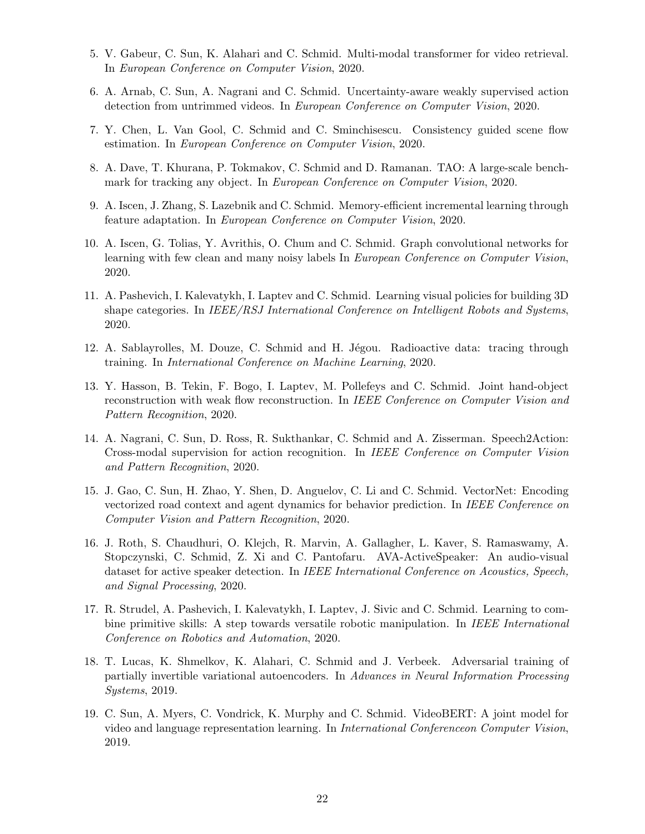- 5. V. Gabeur, C. Sun, K. Alahari and C. Schmid. Multi-modal transformer for video retrieval. In European Conference on Computer Vision, 2020.
- 6. A. Arnab, C. Sun, A. Nagrani and C. Schmid. Uncertainty-aware weakly supervised action detection from untrimmed videos. In European Conference on Computer Vision, 2020.
- 7. Y. Chen, L. Van Gool, C. Schmid and C. Sminchisescu. Consistency guided scene flow estimation. In European Conference on Computer Vision, 2020.
- 8. A. Dave, T. Khurana, P. Tokmakov, C. Schmid and D. Ramanan. TAO: A large-scale benchmark for tracking any object. In European Conference on Computer Vision, 2020.
- 9. A. Iscen, J. Zhang, S. Lazebnik and C. Schmid. Memory-efficient incremental learning through feature adaptation. In European Conference on Computer Vision, 2020.
- 10. A. Iscen, G. Tolias, Y. Avrithis, O. Chum and C. Schmid. Graph convolutional networks for learning with few clean and many noisy labels In European Conference on Computer Vision, 2020.
- 11. A. Pashevich, I. Kalevatykh, I. Laptev and C. Schmid. Learning visual policies for building 3D shape categories. In *IEEE/RSJ International Conference on Intelligent Robots and Systems*, 2020.
- 12. A. Sablayrolles, M. Douze, C. Schmid and H. Jégou. Radioactive data: tracing through training. In International Conference on Machine Learning, 2020.
- 13. Y. Hasson, B. Tekin, F. Bogo, I. Laptev, M. Pollefeys and C. Schmid. Joint hand-object reconstruction with weak flow reconstruction. In IEEE Conference on Computer Vision and Pattern Recognition, 2020.
- 14. A. Nagrani, C. Sun, D. Ross, R. Sukthankar, C. Schmid and A. Zisserman. Speech2Action: Cross-modal supervision for action recognition. In IEEE Conference on Computer Vision and Pattern Recognition, 2020.
- 15. J. Gao, C. Sun, H. Zhao, Y. Shen, D. Anguelov, C. Li and C. Schmid. VectorNet: Encoding vectorized road context and agent dynamics for behavior prediction. In IEEE Conference on Computer Vision and Pattern Recognition, 2020.
- 16. J. Roth, S. Chaudhuri, O. Klejch, R. Marvin, A. Gallagher, L. Kaver, S. Ramaswamy, A. Stopczynski, C. Schmid, Z. Xi and C. Pantofaru. AVA-ActiveSpeaker: An audio-visual dataset for active speaker detection. In IEEE International Conference on Acoustics, Speech, and Signal Processing, 2020.
- 17. R. Strudel, A. Pashevich, I. Kalevatykh, I. Laptev, J. Sivic and C. Schmid. Learning to combine primitive skills: A step towards versatile robotic manipulation. In IEEE International Conference on Robotics and Automation, 2020.
- 18. T. Lucas, K. Shmelkov, K. Alahari, C. Schmid and J. Verbeek. Adversarial training of partially invertible variational autoencoders. In Advances in Neural Information Processing Systems, 2019.
- 19. C. Sun, A. Myers, C. Vondrick, K. Murphy and C. Schmid. VideoBERT: A joint model for video and language representation learning. In International Conferenceon Computer Vision, 2019.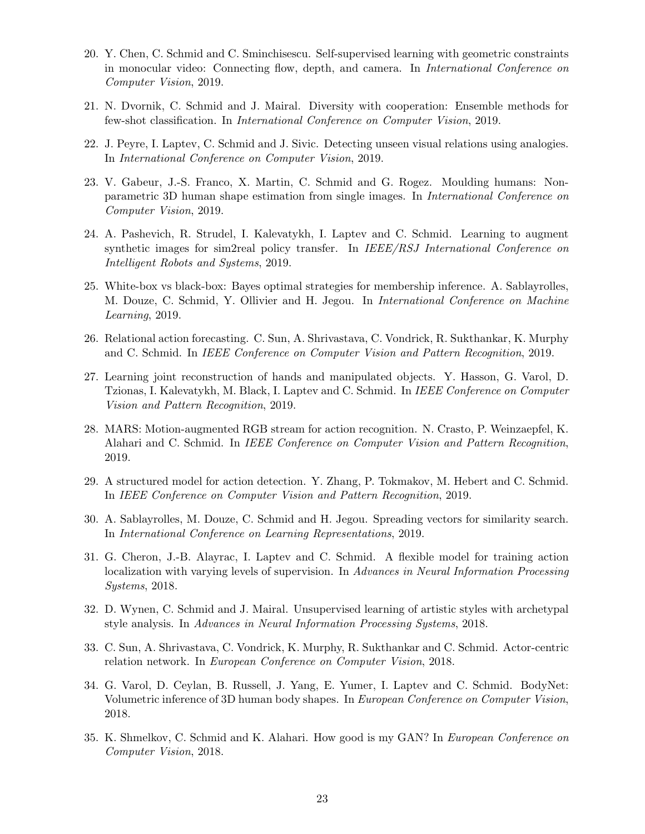- 20. Y. Chen, C. Schmid and C. Sminchisescu. Self-supervised learning with geometric constraints in monocular video: Connecting flow, depth, and camera. In International Conference on Computer Vision, 2019.
- 21. N. Dvornik, C. Schmid and J. Mairal. Diversity with cooperation: Ensemble methods for few-shot classification. In International Conference on Computer Vision, 2019.
- 22. J. Peyre, I. Laptev, C. Schmid and J. Sivic. Detecting unseen visual relations using analogies. In International Conference on Computer Vision, 2019.
- 23. V. Gabeur, J.-S. Franco, X. Martin, C. Schmid and G. Rogez. Moulding humans: Nonparametric 3D human shape estimation from single images. In International Conference on Computer Vision, 2019.
- 24. A. Pashevich, R. Strudel, I. Kalevatykh, I. Laptev and C. Schmid. Learning to augment synthetic images for sim2real policy transfer. In  $IEEE/RSJ International Conference on$ Intelligent Robots and Systems, 2019.
- 25. White-box vs black-box: Bayes optimal strategies for membership inference. A. Sablayrolles, M. Douze, C. Schmid, Y. Ollivier and H. Jegou. In International Conference on Machine Learning, 2019.
- 26. Relational action forecasting. C. Sun, A. Shrivastava, C. Vondrick, R. Sukthankar, K. Murphy and C. Schmid. In IEEE Conference on Computer Vision and Pattern Recognition, 2019.
- 27. Learning joint reconstruction of hands and manipulated objects. Y. Hasson, G. Varol, D. Tzionas, I. Kalevatykh, M. Black, I. Laptev and C. Schmid. In IEEE Conference on Computer Vision and Pattern Recognition, 2019.
- 28. MARS: Motion-augmented RGB stream for action recognition. N. Crasto, P. Weinzaepfel, K. Alahari and C. Schmid. In IEEE Conference on Computer Vision and Pattern Recognition, 2019.
- 29. A structured model for action detection. Y. Zhang, P. Tokmakov, M. Hebert and C. Schmid. In IEEE Conference on Computer Vision and Pattern Recognition, 2019.
- 30. A. Sablayrolles, M. Douze, C. Schmid and H. Jegou. Spreading vectors for similarity search. In International Conference on Learning Representations, 2019.
- 31. G. Cheron, J.-B. Alayrac, I. Laptev and C. Schmid. A flexible model for training action localization with varying levels of supervision. In Advances in Neural Information Processing Systems, 2018.
- 32. D. Wynen, C. Schmid and J. Mairal. Unsupervised learning of artistic styles with archetypal style analysis. In Advances in Neural Information Processing Systems, 2018.
- 33. C. Sun, A. Shrivastava, C. Vondrick, K. Murphy, R. Sukthankar and C. Schmid. Actor-centric relation network. In European Conference on Computer Vision, 2018.
- 34. G. Varol, D. Ceylan, B. Russell, J. Yang, E. Yumer, I. Laptev and C. Schmid. BodyNet: Volumetric inference of 3D human body shapes. In European Conference on Computer Vision, 2018.
- 35. K. Shmelkov, C. Schmid and K. Alahari. How good is my GAN? In European Conference on Computer Vision, 2018.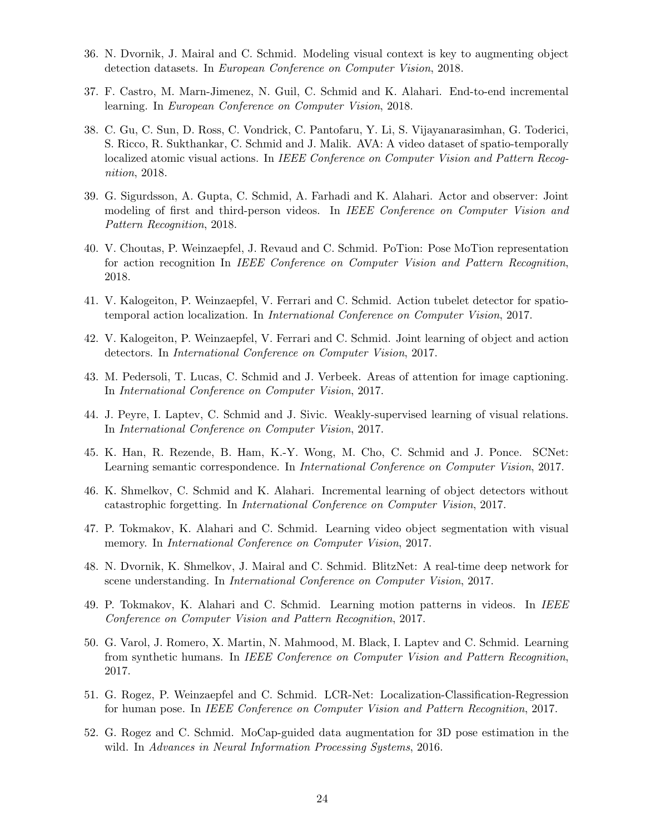- 36. N. Dvornik, J. Mairal and C. Schmid. Modeling visual context is key to augmenting object detection datasets. In European Conference on Computer Vision, 2018.
- 37. F. Castro, M. Marn-Jimenez, N. Guil, C. Schmid and K. Alahari. End-to-end incremental learning. In European Conference on Computer Vision, 2018.
- 38. C. Gu, C. Sun, D. Ross, C. Vondrick, C. Pantofaru, Y. Li, S. Vijayanarasimhan, G. Toderici, S. Ricco, R. Sukthankar, C. Schmid and J. Malik. AVA: A video dataset of spatio-temporally localized atomic visual actions. In IEEE Conference on Computer Vision and Pattern Recognition, 2018.
- 39. G. Sigurdsson, A. Gupta, C. Schmid, A. Farhadi and K. Alahari. Actor and observer: Joint modeling of first and third-person videos. In IEEE Conference on Computer Vision and Pattern Recognition, 2018.
- 40. V. Choutas, P. Weinzaepfel, J. Revaud and C. Schmid. PoTion: Pose MoTion representation for action recognition In IEEE Conference on Computer Vision and Pattern Recognition, 2018.
- 41. V. Kalogeiton, P. Weinzaepfel, V. Ferrari and C. Schmid. Action tubelet detector for spatiotemporal action localization. In International Conference on Computer Vision, 2017.
- 42. V. Kalogeiton, P. Weinzaepfel, V. Ferrari and C. Schmid. Joint learning of object and action detectors. In International Conference on Computer Vision, 2017.
- 43. M. Pedersoli, T. Lucas, C. Schmid and J. Verbeek. Areas of attention for image captioning. In International Conference on Computer Vision, 2017.
- 44. J. Peyre, I. Laptev, C. Schmid and J. Sivic. Weakly-supervised learning of visual relations. In International Conference on Computer Vision, 2017.
- 45. K. Han, R. Rezende, B. Ham, K.-Y. Wong, M. Cho, C. Schmid and J. Ponce. SCNet: Learning semantic correspondence. In International Conference on Computer Vision, 2017.
- 46. K. Shmelkov, C. Schmid and K. Alahari. Incremental learning of object detectors without catastrophic forgetting. In International Conference on Computer Vision, 2017.
- 47. P. Tokmakov, K. Alahari and C. Schmid. Learning video object segmentation with visual memory. In International Conference on Computer Vision, 2017.
- 48. N. Dvornik, K. Shmelkov, J. Mairal and C. Schmid. BlitzNet: A real-time deep network for scene understanding. In International Conference on Computer Vision, 2017.
- 49. P. Tokmakov, K. Alahari and C. Schmid. Learning motion patterns in videos. In IEEE Conference on Computer Vision and Pattern Recognition, 2017.
- 50. G. Varol, J. Romero, X. Martin, N. Mahmood, M. Black, I. Laptev and C. Schmid. Learning from synthetic humans. In IEEE Conference on Computer Vision and Pattern Recognition, 2017.
- 51. G. Rogez, P. Weinzaepfel and C. Schmid. LCR-Net: Localization-Classification-Regression for human pose. In IEEE Conference on Computer Vision and Pattern Recognition, 2017.
- 52. G. Rogez and C. Schmid. MoCap-guided data augmentation for 3D pose estimation in the wild. In Advances in Neural Information Processing Systems, 2016.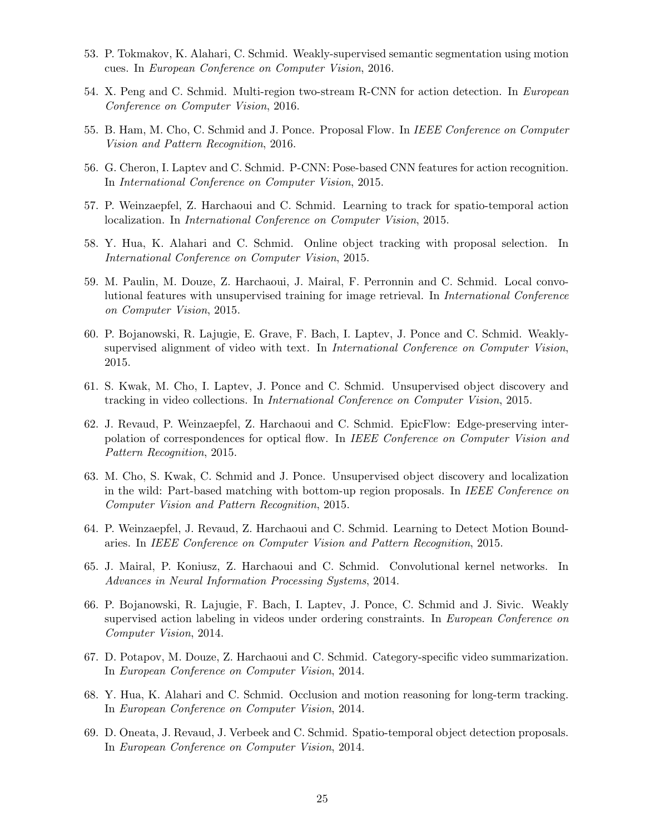- 53. P. Tokmakov, K. Alahari, C. Schmid. Weakly-supervised semantic segmentation using motion cues. In European Conference on Computer Vision, 2016.
- 54. X. Peng and C. Schmid. Multi-region two-stream R-CNN for action detection. In European Conference on Computer Vision, 2016.
- 55. B. Ham, M. Cho, C. Schmid and J. Ponce. Proposal Flow. In IEEE Conference on Computer Vision and Pattern Recognition, 2016.
- 56. G. Cheron, I. Laptev and C. Schmid. P-CNN: Pose-based CNN features for action recognition. In International Conference on Computer Vision, 2015.
- 57. P. Weinzaepfel, Z. Harchaoui and C. Schmid. Learning to track for spatio-temporal action localization. In International Conference on Computer Vision, 2015.
- 58. Y. Hua, K. Alahari and C. Schmid. Online object tracking with proposal selection. In International Conference on Computer Vision, 2015.
- 59. M. Paulin, M. Douze, Z. Harchaoui, J. Mairal, F. Perronnin and C. Schmid. Local convolutional features with unsupervised training for image retrieval. In International Conference on Computer Vision, 2015.
- 60. P. Bojanowski, R. Lajugie, E. Grave, F. Bach, I. Laptev, J. Ponce and C. Schmid. Weaklysupervised alignment of video with text. In International Conference on Computer Vision, 2015.
- 61. S. Kwak, M. Cho, I. Laptev, J. Ponce and C. Schmid. Unsupervised object discovery and tracking in video collections. In International Conference on Computer Vision, 2015.
- 62. J. Revaud, P. Weinzaepfel, Z. Harchaoui and C. Schmid. EpicFlow: Edge-preserving interpolation of correspondences for optical flow. In IEEE Conference on Computer Vision and Pattern Recognition, 2015.
- 63. M. Cho, S. Kwak, C. Schmid and J. Ponce. Unsupervised object discovery and localization in the wild: Part-based matching with bottom-up region proposals. In IEEE Conference on Computer Vision and Pattern Recognition, 2015.
- 64. P. Weinzaepfel, J. Revaud, Z. Harchaoui and C. Schmid. Learning to Detect Motion Boundaries. In IEEE Conference on Computer Vision and Pattern Recognition, 2015.
- 65. J. Mairal, P. Koniusz, Z. Harchaoui and C. Schmid. Convolutional kernel networks. In Advances in Neural Information Processing Systems, 2014.
- 66. P. Bojanowski, R. Lajugie, F. Bach, I. Laptev, J. Ponce, C. Schmid and J. Sivic. Weakly supervised action labeling in videos under ordering constraints. In European Conference on Computer Vision, 2014.
- 67. D. Potapov, M. Douze, Z. Harchaoui and C. Schmid. Category-specific video summarization. In European Conference on Computer Vision, 2014.
- 68. Y. Hua, K. Alahari and C. Schmid. Occlusion and motion reasoning for long-term tracking. In European Conference on Computer Vision, 2014.
- 69. D. Oneata, J. Revaud, J. Verbeek and C. Schmid. Spatio-temporal object detection proposals. In European Conference on Computer Vision, 2014.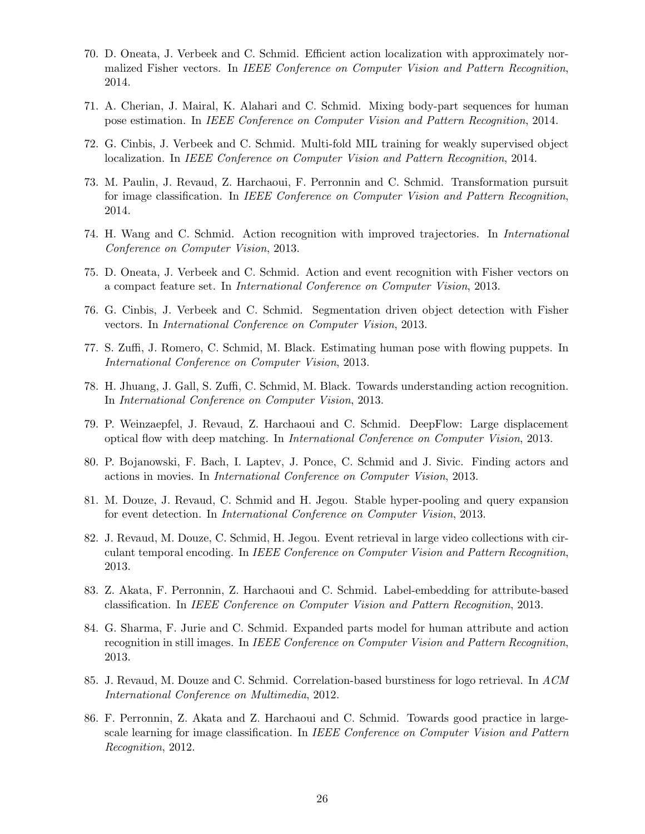- 70. D. Oneata, J. Verbeek and C. Schmid. Efficient action localization with approximately normalized Fisher vectors. In IEEE Conference on Computer Vision and Pattern Recognition, 2014.
- 71. A. Cherian, J. Mairal, K. Alahari and C. Schmid. Mixing body-part sequences for human pose estimation. In IEEE Conference on Computer Vision and Pattern Recognition, 2014.
- 72. G. Cinbis, J. Verbeek and C. Schmid. Multi-fold MIL training for weakly supervised object localization. In IEEE Conference on Computer Vision and Pattern Recognition, 2014.
- 73. M. Paulin, J. Revaud, Z. Harchaoui, F. Perronnin and C. Schmid. Transformation pursuit for image classification. In IEEE Conference on Computer Vision and Pattern Recognition, 2014.
- 74. H. Wang and C. Schmid. Action recognition with improved trajectories. In International Conference on Computer Vision, 2013.
- 75. D. Oneata, J. Verbeek and C. Schmid. Action and event recognition with Fisher vectors on a compact feature set. In International Conference on Computer Vision, 2013.
- 76. G. Cinbis, J. Verbeek and C. Schmid. Segmentation driven object detection with Fisher vectors. In International Conference on Computer Vision, 2013.
- 77. S. Zuffi, J. Romero, C. Schmid, M. Black. Estimating human pose with flowing puppets. In International Conference on Computer Vision, 2013.
- 78. H. Jhuang, J. Gall, S. Zuffi, C. Schmid, M. Black. Towards understanding action recognition. In International Conference on Computer Vision, 2013.
- 79. P. Weinzaepfel, J. Revaud, Z. Harchaoui and C. Schmid. DeepFlow: Large displacement optical flow with deep matching. In International Conference on Computer Vision, 2013.
- 80. P. Bojanowski, F. Bach, I. Laptev, J. Ponce, C. Schmid and J. Sivic. Finding actors and actions in movies. In International Conference on Computer Vision, 2013.
- 81. M. Douze, J. Revaud, C. Schmid and H. Jegou. Stable hyper-pooling and query expansion for event detection. In International Conference on Computer Vision, 2013.
- 82. J. Revaud, M. Douze, C. Schmid, H. Jegou. Event retrieval in large video collections with circulant temporal encoding. In IEEE Conference on Computer Vision and Pattern Recognition, 2013.
- 83. Z. Akata, F. Perronnin, Z. Harchaoui and C. Schmid. Label-embedding for attribute-based classification. In IEEE Conference on Computer Vision and Pattern Recognition, 2013.
- 84. G. Sharma, F. Jurie and C. Schmid. Expanded parts model for human attribute and action recognition in still images. In IEEE Conference on Computer Vision and Pattern Recognition, 2013.
- 85. J. Revaud, M. Douze and C. Schmid. Correlation-based burstiness for logo retrieval. In ACM International Conference on Multimedia, 2012.
- 86. F. Perronnin, Z. Akata and Z. Harchaoui and C. Schmid. Towards good practice in largescale learning for image classification. In IEEE Conference on Computer Vision and Pattern Recognition, 2012.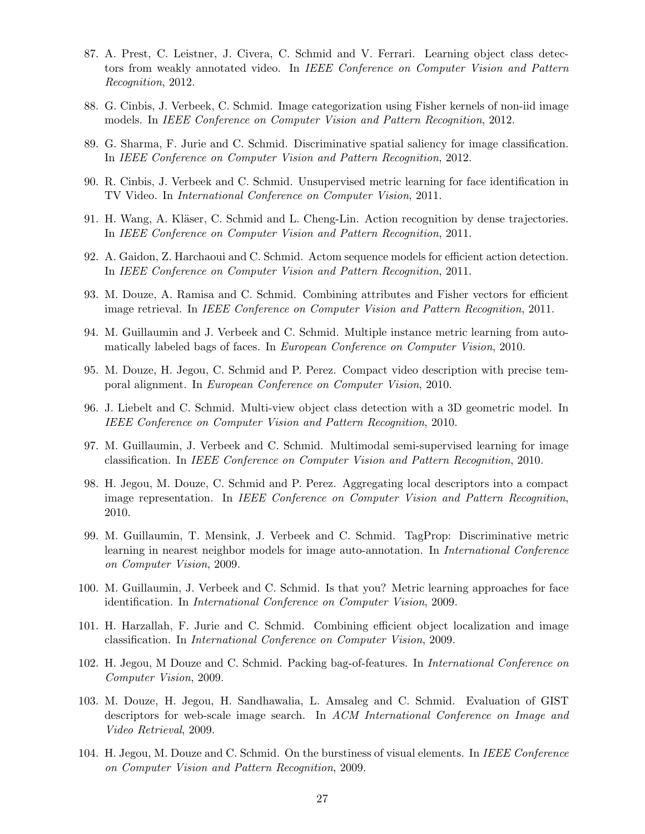- 87. A. Prest, C. Leistner, J. Civera, C. Schmid and V. Ferrari. Learning object class detectors from weakly annotated video. In IEEE Conference on Computer Vision and Pattern Recognition, 2012.
- 88. G. Cinbis, J. Verbeek, C. Schmid. Image categorization using Fisher kernels of non-iid image models. In IEEE Conference on Computer Vision and Pattern Recognition, 2012.
- 89. G. Sharma, F. Jurie and C. Schmid. Discriminative spatial saliency for image classification. In IEEE Conference on Computer Vision and Pattern Recognition, 2012.
- 90. R. Cinbis, J. Verbeek and C. Schmid. Unsupervised metric learning for face identification in TV Video. In International Conference on Computer Vision, 2011.
- 91. H. Wang, A. Kläser, C. Schmid and L. Cheng-Lin. Action recognition by dense trajectories. In IEEE Conference on Computer Vision and Pattern Recognition, 2011.
- 92. A. Gaidon, Z. Harchaoui and C. Schmid. Actom sequence models for efficient action detection. In IEEE Conference on Computer Vision and Pattern Recognition, 2011.
- 93. M. Douze, A. Ramisa and C. Schmid. Combining attributes and Fisher vectors for efficient image retrieval. In IEEE Conference on Computer Vision and Pattern Recognition, 2011.
- 94. M. Guillaumin and J. Verbeek and C. Schmid. Multiple instance metric learning from automatically labeled bags of faces. In European Conference on Computer Vision, 2010.
- 95. M. Douze, H. Jegou, C. Schmid and P. Perez. Compact video description with precise temporal alignment. In European Conference on Computer Vision, 2010.
- 96. J. Liebelt and C. Schmid. Multi-view object class detection with a 3D geometric model. In IEEE Conference on Computer Vision and Pattern Recognition, 2010.
- 97. M. Guillaumin, J. Verbeek and C. Schmid. Multimodal semi-supervised learning for image classification. In IEEE Conference on Computer Vision and Pattern Recognition, 2010.
- 98. H. Jegou, M. Douze, C. Schmid and P. Perez. Aggregating local descriptors into a compact image representation. In IEEE Conference on Computer Vision and Pattern Recognition, 2010.
- 99. M. Guillaumin, T. Mensink, J. Verbeek and C. Schmid. TagProp: Discriminative metric learning in nearest neighbor models for image auto-annotation. In International Conference on Computer Vision, 2009.
- 100. M. Guillaumin, J. Verbeek and C. Schmid. Is that you? Metric learning approaches for face identification. In International Conference on Computer Vision, 2009.
- 101. H. Harzallah, F. Jurie and C. Schmid. Combining efficient object localization and image classification. In International Conference on Computer Vision, 2009.
- 102. H. Jegou, M Douze and C. Schmid. Packing bag-of-features. In International Conference on Computer Vision, 2009.
- 103. M. Douze, H. Jegou, H. Sandhawalia, L. Amsaleg and C. Schmid. Evaluation of GIST descriptors for web-scale image search. In ACM International Conference on Image and Video Retrieval, 2009.
- 104. H. Jegou, M. Douze and C. Schmid. On the burstiness of visual elements. In IEEE Conference on Computer Vision and Pattern Recognition, 2009.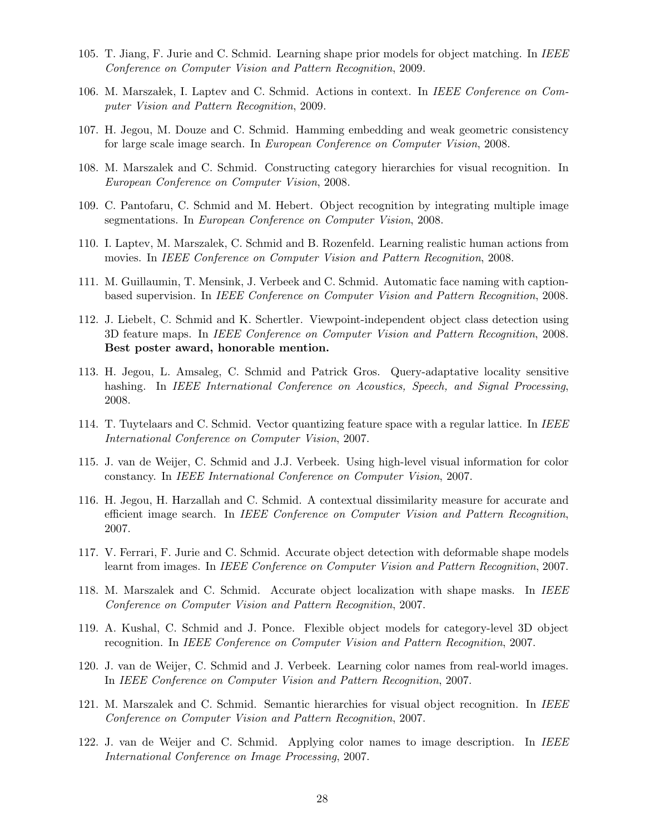- 105. T. Jiang, F. Jurie and C. Schmid. Learning shape prior models for object matching. In IEEE Conference on Computer Vision and Pattern Recognition, 2009.
- 106. M. Marszałek, I. Laptev and C. Schmid. Actions in context. In IEEE Conference on Computer Vision and Pattern Recognition, 2009.
- 107. H. Jegou, M. Douze and C. Schmid. Hamming embedding and weak geometric consistency for large scale image search. In European Conference on Computer Vision, 2008.
- 108. M. Marszalek and C. Schmid. Constructing category hierarchies for visual recognition. In European Conference on Computer Vision, 2008.
- 109. C. Pantofaru, C. Schmid and M. Hebert. Object recognition by integrating multiple image segmentations. In European Conference on Computer Vision, 2008.
- 110. I. Laptev, M. Marszalek, C. Schmid and B. Rozenfeld. Learning realistic human actions from movies. In IEEE Conference on Computer Vision and Pattern Recognition, 2008.
- 111. M. Guillaumin, T. Mensink, J. Verbeek and C. Schmid. Automatic face naming with captionbased supervision. In IEEE Conference on Computer Vision and Pattern Recognition, 2008.
- 112. J. Liebelt, C. Schmid and K. Schertler. Viewpoint-independent object class detection using 3D feature maps. In IEEE Conference on Computer Vision and Pattern Recognition, 2008. Best poster award, honorable mention.
- 113. H. Jegou, L. Amsaleg, C. Schmid and Patrick Gros. Query-adaptative locality sensitive hashing. In IEEE International Conference on Acoustics, Speech, and Signal Processing, 2008.
- 114. T. Tuytelaars and C. Schmid. Vector quantizing feature space with a regular lattice. In IEEE International Conference on Computer Vision, 2007.
- 115. J. van de Weijer, C. Schmid and J.J. Verbeek. Using high-level visual information for color constancy. In IEEE International Conference on Computer Vision, 2007.
- 116. H. Jegou, H. Harzallah and C. Schmid. A contextual dissimilarity measure for accurate and efficient image search. In IEEE Conference on Computer Vision and Pattern Recognition, 2007.
- 117. V. Ferrari, F. Jurie and C. Schmid. Accurate object detection with deformable shape models learnt from images. In IEEE Conference on Computer Vision and Pattern Recognition, 2007.
- 118. M. Marszalek and C. Schmid. Accurate object localization with shape masks. In IEEE Conference on Computer Vision and Pattern Recognition, 2007.
- 119. A. Kushal, C. Schmid and J. Ponce. Flexible object models for category-level 3D object recognition. In IEEE Conference on Computer Vision and Pattern Recognition, 2007.
- 120. J. van de Weijer, C. Schmid and J. Verbeek. Learning color names from real-world images. In IEEE Conference on Computer Vision and Pattern Recognition, 2007.
- 121. M. Marszalek and C. Schmid. Semantic hierarchies for visual object recognition. In IEEE Conference on Computer Vision and Pattern Recognition, 2007.
- 122. J. van de Weijer and C. Schmid. Applying color names to image description. In IEEE International Conference on Image Processing, 2007.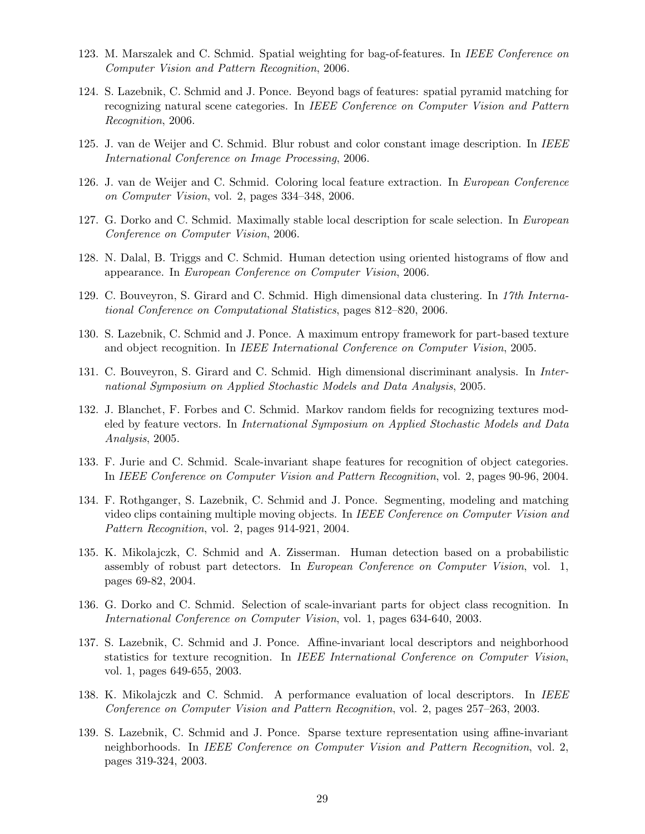- 123. M. Marszalek and C. Schmid. Spatial weighting for bag-of-features. In IEEE Conference on Computer Vision and Pattern Recognition, 2006.
- 124. S. Lazebnik, C. Schmid and J. Ponce. Beyond bags of features: spatial pyramid matching for recognizing natural scene categories. In IEEE Conference on Computer Vision and Pattern Recognition, 2006.
- 125. J. van de Weijer and C. Schmid. Blur robust and color constant image description. In IEEE International Conference on Image Processing, 2006.
- 126. J. van de Weijer and C. Schmid. Coloring local feature extraction. In European Conference on Computer Vision, vol. 2, pages 334–348, 2006.
- 127. G. Dorko and C. Schmid. Maximally stable local description for scale selection. In European Conference on Computer Vision, 2006.
- 128. N. Dalal, B. Triggs and C. Schmid. Human detection using oriented histograms of flow and appearance. In European Conference on Computer Vision, 2006.
- 129. C. Bouveyron, S. Girard and C. Schmid. High dimensional data clustering. In 17th International Conference on Computational Statistics, pages 812–820, 2006.
- 130. S. Lazebnik, C. Schmid and J. Ponce. A maximum entropy framework for part-based texture and object recognition. In IEEE International Conference on Computer Vision, 2005.
- 131. C. Bouveyron, S. Girard and C. Schmid. High dimensional discriminant analysis. In International Symposium on Applied Stochastic Models and Data Analysis, 2005.
- 132. J. Blanchet, F. Forbes and C. Schmid. Markov random fields for recognizing textures modeled by feature vectors. In International Symposium on Applied Stochastic Models and Data Analysis, 2005.
- 133. F. Jurie and C. Schmid. Scale-invariant shape features for recognition of object categories. In IEEE Conference on Computer Vision and Pattern Recognition, vol. 2, pages 90-96, 2004.
- 134. F. Rothganger, S. Lazebnik, C. Schmid and J. Ponce. Segmenting, modeling and matching video clips containing multiple moving objects. In IEEE Conference on Computer Vision and Pattern Recognition, vol. 2, pages 914-921, 2004.
- 135. K. Mikolajczk, C. Schmid and A. Zisserman. Human detection based on a probabilistic assembly of robust part detectors. In European Conference on Computer Vision, vol. 1, pages 69-82, 2004.
- 136. G. Dorko and C. Schmid. Selection of scale-invariant parts for object class recognition. In International Conference on Computer Vision, vol. 1, pages 634-640, 2003.
- 137. S. Lazebnik, C. Schmid and J. Ponce. Affine-invariant local descriptors and neighborhood statistics for texture recognition. In IEEE International Conference on Computer Vision, vol. 1, pages 649-655, 2003.
- 138. K. Mikolajczk and C. Schmid. A performance evaluation of local descriptors. In IEEE Conference on Computer Vision and Pattern Recognition, vol. 2, pages 257–263, 2003.
- 139. S. Lazebnik, C. Schmid and J. Ponce. Sparse texture representation using affine-invariant neighborhoods. In IEEE Conference on Computer Vision and Pattern Recognition, vol. 2, pages 319-324, 2003.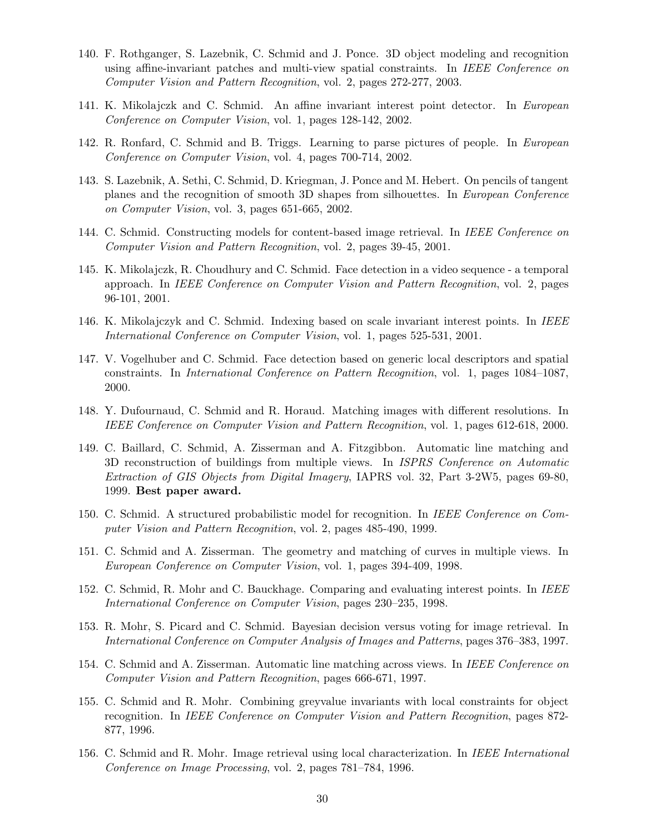- 140. F. Rothganger, S. Lazebnik, C. Schmid and J. Ponce. 3D object modeling and recognition using affine-invariant patches and multi-view spatial constraints. In IEEE Conference on Computer Vision and Pattern Recognition, vol. 2, pages 272-277, 2003.
- 141. K. Mikolajczk and C. Schmid. An affine invariant interest point detector. In European Conference on Computer Vision, vol. 1, pages 128-142, 2002.
- 142. R. Ronfard, C. Schmid and B. Triggs. Learning to parse pictures of people. In European Conference on Computer Vision, vol. 4, pages 700-714, 2002.
- 143. S. Lazebnik, A. Sethi, C. Schmid, D. Kriegman, J. Ponce and M. Hebert. On pencils of tangent planes and the recognition of smooth 3D shapes from silhouettes. In European Conference on Computer Vision, vol. 3, pages 651-665, 2002.
- 144. C. Schmid. Constructing models for content-based image retrieval. In IEEE Conference on Computer Vision and Pattern Recognition, vol. 2, pages 39-45, 2001.
- 145. K. Mikolajczk, R. Choudhury and C. Schmid. Face detection in a video sequence a temporal approach. In IEEE Conference on Computer Vision and Pattern Recognition, vol. 2, pages 96-101, 2001.
- 146. K. Mikolajczyk and C. Schmid. Indexing based on scale invariant interest points. In IEEE International Conference on Computer Vision, vol. 1, pages 525-531, 2001.
- 147. V. Vogelhuber and C. Schmid. Face detection based on generic local descriptors and spatial constraints. In International Conference on Pattern Recognition, vol. 1, pages 1084–1087, 2000.
- 148. Y. Dufournaud, C. Schmid and R. Horaud. Matching images with different resolutions. In IEEE Conference on Computer Vision and Pattern Recognition, vol. 1, pages 612-618, 2000.
- 149. C. Baillard, C. Schmid, A. Zisserman and A. Fitzgibbon. Automatic line matching and 3D reconstruction of buildings from multiple views. In ISPRS Conference on Automatic Extraction of GIS Objects from Digital Imagery, IAPRS vol. 32, Part 3-2W5, pages 69-80, 1999. Best paper award.
- 150. C. Schmid. A structured probabilistic model for recognition. In IEEE Conference on Computer Vision and Pattern Recognition, vol. 2, pages 485-490, 1999.
- 151. C. Schmid and A. Zisserman. The geometry and matching of curves in multiple views. In European Conference on Computer Vision, vol. 1, pages 394-409, 1998.
- 152. C. Schmid, R. Mohr and C. Bauckhage. Comparing and evaluating interest points. In IEEE International Conference on Computer Vision, pages 230–235, 1998.
- 153. R. Mohr, S. Picard and C. Schmid. Bayesian decision versus voting for image retrieval. In International Conference on Computer Analysis of Images and Patterns, pages 376–383, 1997.
- 154. C. Schmid and A. Zisserman. Automatic line matching across views. In IEEE Conference on Computer Vision and Pattern Recognition, pages 666-671, 1997.
- 155. C. Schmid and R. Mohr. Combining greyvalue invariants with local constraints for object recognition. In IEEE Conference on Computer Vision and Pattern Recognition, pages 872- 877, 1996.
- 156. C. Schmid and R. Mohr. Image retrieval using local characterization. In IEEE International Conference on Image Processing, vol. 2, pages 781–784, 1996.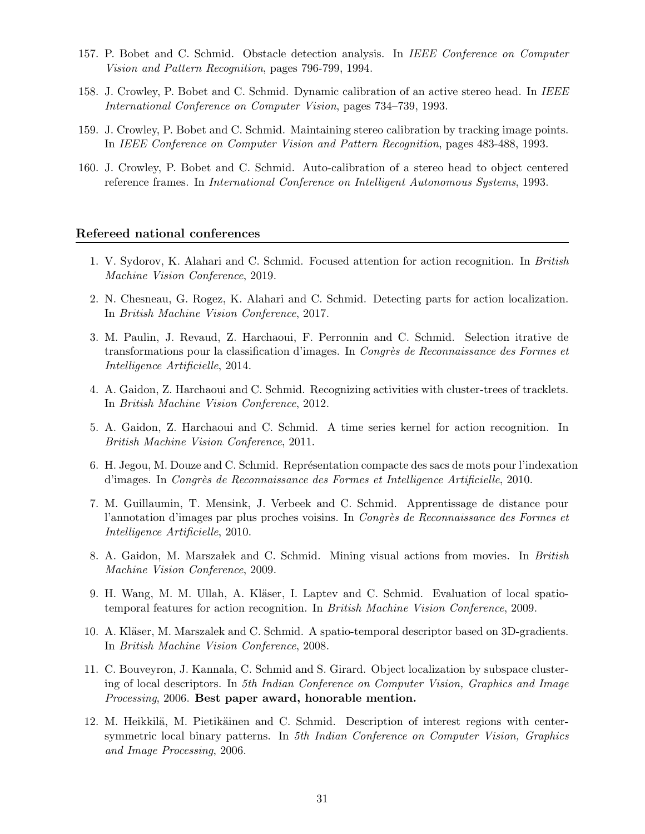- 157. P. Bobet and C. Schmid. Obstacle detection analysis. In IEEE Conference on Computer Vision and Pattern Recognition, pages 796-799, 1994.
- 158. J. Crowley, P. Bobet and C. Schmid. Dynamic calibration of an active stereo head. In IEEE International Conference on Computer Vision, pages 734–739, 1993.
- 159. J. Crowley, P. Bobet and C. Schmid. Maintaining stereo calibration by tracking image points. In IEEE Conference on Computer Vision and Pattern Recognition, pages 483-488, 1993.
- 160. J. Crowley, P. Bobet and C. Schmid. Auto-calibration of a stereo head to object centered reference frames. In International Conference on Intelligent Autonomous Systems, 1993.

#### Refereed national conferences

- 1. V. Sydorov, K. Alahari and C. Schmid. Focused attention for action recognition. In British Machine Vision Conference, 2019.
- 2. N. Chesneau, G. Rogez, K. Alahari and C. Schmid. Detecting parts for action localization. In British Machine Vision Conference, 2017.
- 3. M. Paulin, J. Revaud, Z. Harchaoui, F. Perronnin and C. Schmid. Selection itrative de transformations pour la classification d'images. In Congrès de Reconnaissance des Formes et Intelligence Artificielle, 2014.
- 4. A. Gaidon, Z. Harchaoui and C. Schmid. Recognizing activities with cluster-trees of tracklets. In British Machine Vision Conference, 2012.
- 5. A. Gaidon, Z. Harchaoui and C. Schmid. A time series kernel for action recognition. In British Machine Vision Conference, 2011.
- 6. H. Jegou, M. Douze and C. Schmid. Représentation compacte des sacs de mots pour l'indexation d'images. In Congrès de Reconnaissance des Formes et Intelligence Artificielle, 2010.
- 7. M. Guillaumin, T. Mensink, J. Verbeek and C. Schmid. Apprentissage de distance pour l'annotation d'images par plus proches voisins. In Congrès de Reconnaissance des Formes et Intelligence Artificielle, 2010.
- 8. A. Gaidon, M. Marszałek and C. Schmid. Mining visual actions from movies. In British Machine Vision Conference, 2009.
- 9. H. Wang, M. M. Ullah, A. Kläser, I. Laptev and C. Schmid. Evaluation of local spatiotemporal features for action recognition. In British Machine Vision Conference, 2009.
- 10. A. Kläser, M. Marszalek and C. Schmid. A spatio-temporal descriptor based on 3D-gradients. In British Machine Vision Conference, 2008.
- 11. C. Bouveyron, J. Kannala, C. Schmid and S. Girard. Object localization by subspace clustering of local descriptors. In 5th Indian Conference on Computer Vision, Graphics and Image Processing, 2006. Best paper award, honorable mention.
- 12. M. Heikkilä, M. Pietikäinen and C. Schmid. Description of interest regions with centersymmetric local binary patterns. In 5th Indian Conference on Computer Vision, Graphics and Image Processing, 2006.